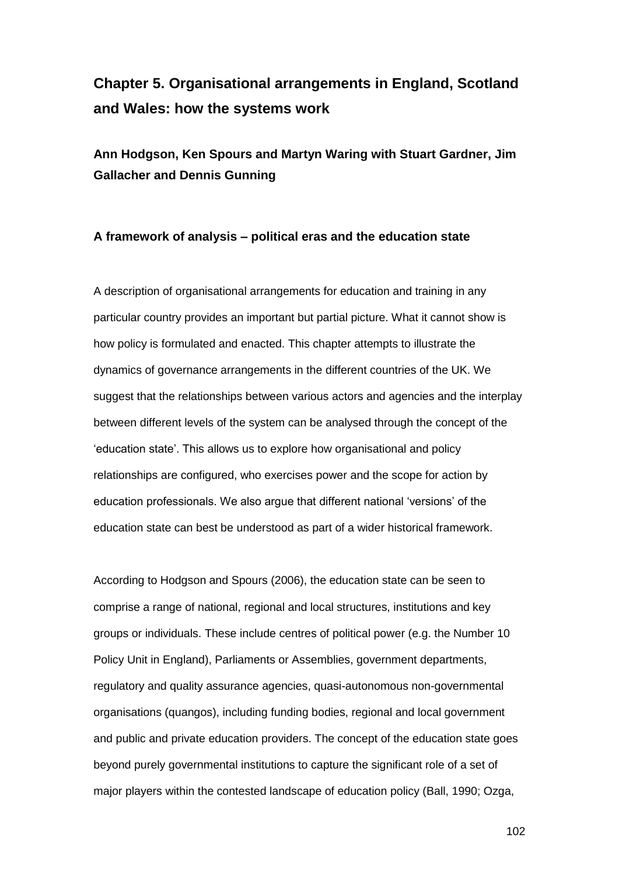# **Chapter 5. Organisational arrangements in England, Scotland and Wales: how the systems work**

**Ann Hodgson, Ken Spours and Martyn Waring with Stuart Gardner, Jim Gallacher and Dennis Gunning** 

#### **A framework of analysis – political eras and the education state**

A description of organisational arrangements for education and training in any particular country provides an important but partial picture. What it cannot show is how policy is formulated and enacted. This chapter attempts to illustrate the dynamics of governance arrangements in the different countries of the UK. We suggest that the relationships between various actors and agencies and the interplay between different levels of the system can be analysed through the concept of the "education state". This allows us to explore how organisational and policy relationships are configured, who exercises power and the scope for action by education professionals. We also argue that different national "versions" of the education state can best be understood as part of a wider historical framework.

According to Hodgson and Spours (2006), the education state can be seen to comprise a range of national, regional and local structures, institutions and key groups or individuals. These include centres of political power (e.g. the Number 10 Policy Unit in England), Parliaments or Assemblies, government departments, regulatory and quality assurance agencies, quasi-autonomous non-governmental organisations (quangos), including funding bodies, regional and local government and public and private education providers. The concept of the education state goes beyond purely governmental institutions to capture the significant role of a set of major players within the contested landscape of education policy (Ball, 1990; Ozga,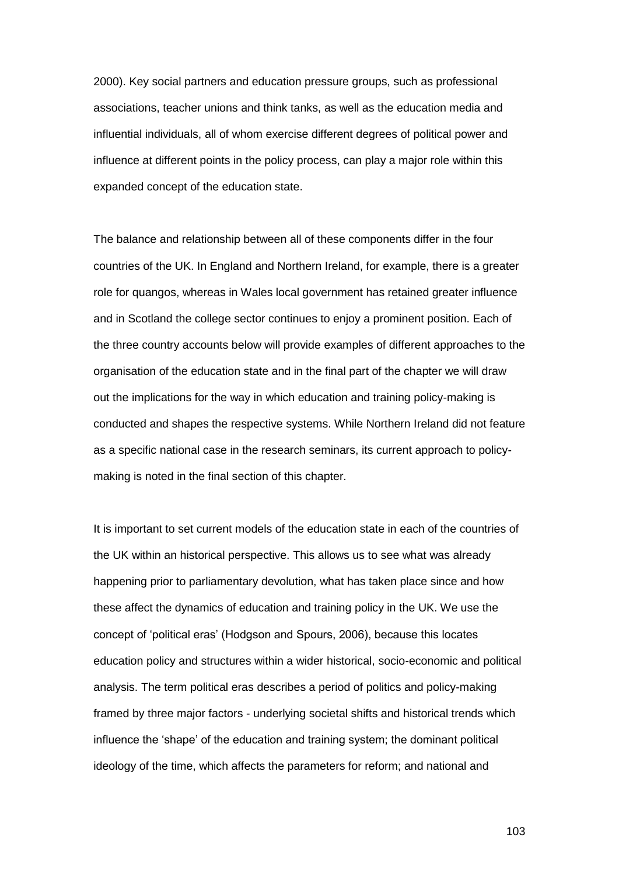2000). Key social partners and education pressure groups, such as professional associations, teacher unions and think tanks, as well as the education media and influential individuals, all of whom exercise different degrees of political power and influence at different points in the policy process, can play a major role within this expanded concept of the education state.

The balance and relationship between all of these components differ in the four countries of the UK. In England and Northern Ireland, for example, there is a greater role for quangos, whereas in Wales local government has retained greater influence and in Scotland the college sector continues to enjoy a prominent position. Each of the three country accounts below will provide examples of different approaches to the organisation of the education state and in the final part of the chapter we will draw out the implications for the way in which education and training policy-making is conducted and shapes the respective systems. While Northern Ireland did not feature as a specific national case in the research seminars, its current approach to policymaking is noted in the final section of this chapter.

It is important to set current models of the education state in each of the countries of the UK within an historical perspective. This allows us to see what was already happening prior to parliamentary devolution, what has taken place since and how these affect the dynamics of education and training policy in the UK. We use the concept of "political eras" (Hodgson and Spours, 2006), because this locates education policy and structures within a wider historical, socio-economic and political analysis. The term political eras describes a period of politics and policy-making framed by three major factors - underlying societal shifts and historical trends which influence the "shape" of the education and training system; the dominant political ideology of the time, which affects the parameters for reform; and national and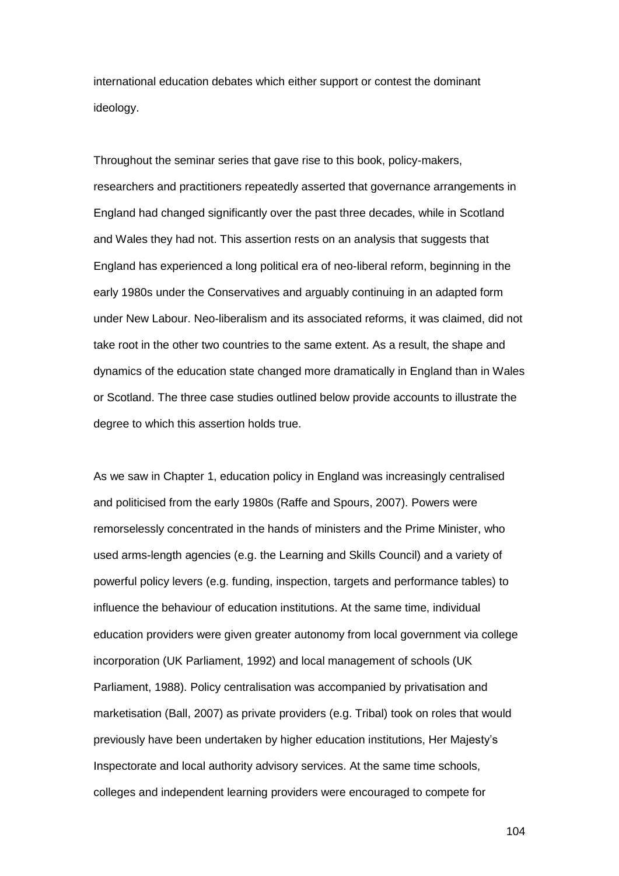international education debates which either support or contest the dominant ideology.

Throughout the seminar series that gave rise to this book, policy-makers, researchers and practitioners repeatedly asserted that governance arrangements in England had changed significantly over the past three decades, while in Scotland and Wales they had not. This assertion rests on an analysis that suggests that England has experienced a long political era of neo-liberal reform, beginning in the early 1980s under the Conservatives and arguably continuing in an adapted form under New Labour. Neo-liberalism and its associated reforms, it was claimed, did not take root in the other two countries to the same extent. As a result, the shape and dynamics of the education state changed more dramatically in England than in Wales or Scotland. The three case studies outlined below provide accounts to illustrate the degree to which this assertion holds true.

As we saw in Chapter 1, education policy in England was increasingly centralised and politicised from the early 1980s (Raffe and Spours, 2007). Powers were remorselessly concentrated in the hands of ministers and the Prime Minister, who used arms-length agencies (e.g. the Learning and Skills Council) and a variety of powerful policy levers (e.g. funding, inspection, targets and performance tables) to influence the behaviour of education institutions. At the same time, individual education providers were given greater autonomy from local government via college incorporation (UK Parliament, 1992) and local management of schools (UK Parliament, 1988). Policy centralisation was accompanied by privatisation and marketisation (Ball, 2007) as private providers (e.g. Tribal) took on roles that would previously have been undertaken by higher education institutions, Her Majesty"s Inspectorate and local authority advisory services. At the same time schools, colleges and independent learning providers were encouraged to compete for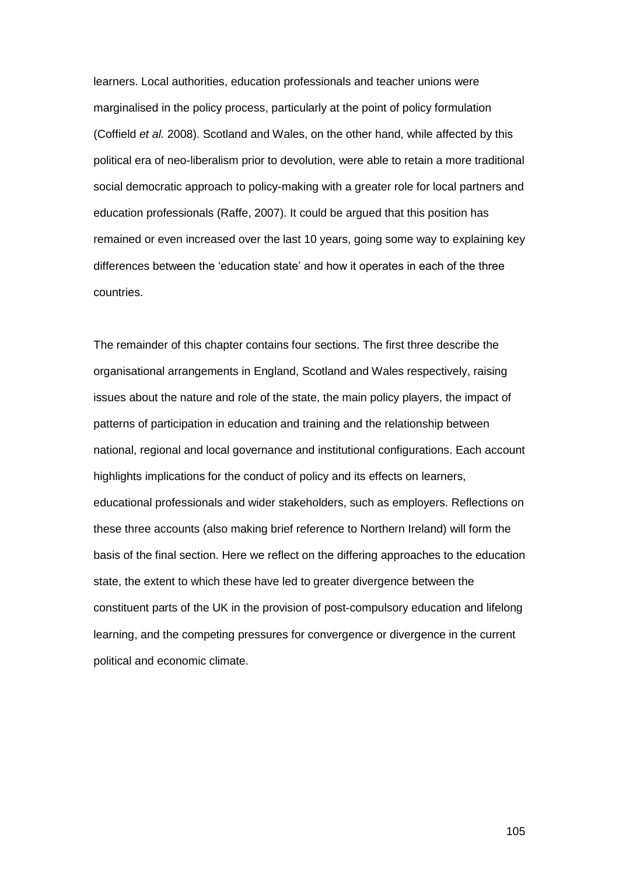learners. Local authorities, education professionals and teacher unions were marginalised in the policy process, particularly at the point of policy formulation (Coffield *et al.* 2008). Scotland and Wales, on the other hand, while affected by this political era of neo-liberalism prior to devolution, were able to retain a more traditional social democratic approach to policy-making with a greater role for local partners and education professionals (Raffe, 2007). It could be argued that this position has remained or even increased over the last 10 years, going some way to explaining key differences between the "education state" and how it operates in each of the three countries.

The remainder of this chapter contains four sections. The first three describe the organisational arrangements in England, Scotland and Wales respectively, raising issues about the nature and role of the state, the main policy players, the impact of patterns of participation in education and training and the relationship between national, regional and local governance and institutional configurations. Each account highlights implications for the conduct of policy and its effects on learners, educational professionals and wider stakeholders, such as employers. Reflections on these three accounts (also making brief reference to Northern Ireland) will form the basis of the final section. Here we reflect on the differing approaches to the education state, the extent to which these have led to greater divergence between the constituent parts of the UK in the provision of post-compulsory education and lifelong learning, and the competing pressures for convergence or divergence in the current political and economic climate.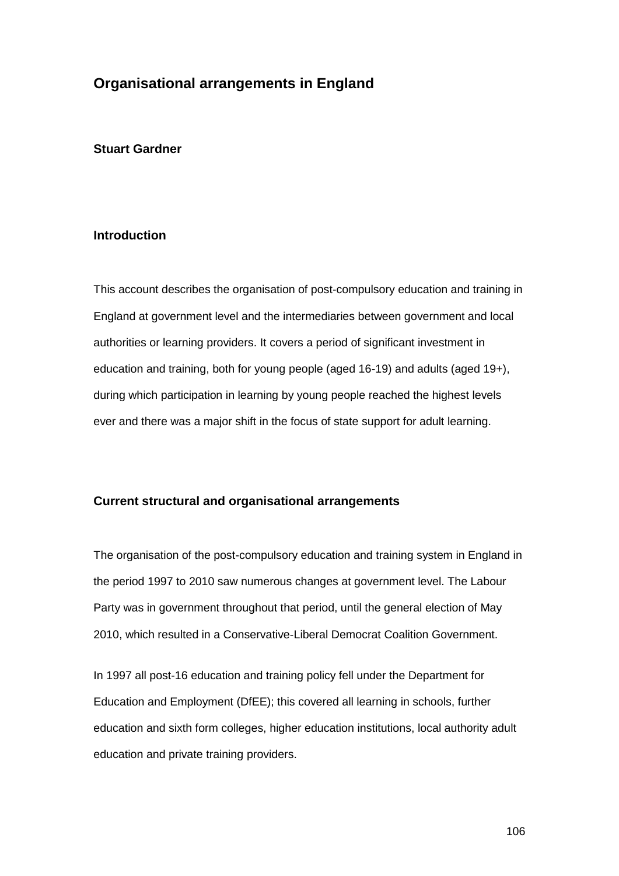# **Organisational arrangements in England**

#### **Stuart Gardner**

## **Introduction**

This account describes the organisation of post-compulsory education and training in England at government level and the intermediaries between government and local authorities or learning providers. It covers a period of significant investment in education and training, both for young people (aged 16-19) and adults (aged 19+), during which participation in learning by young people reached the highest levels ever and there was a major shift in the focus of state support for adult learning.

### **Current structural and organisational arrangements**

The organisation of the post-compulsory education and training system in England in the period 1997 to 2010 saw numerous changes at government level. The Labour Party was in government throughout that period, until the general election of May 2010, which resulted in a Conservative-Liberal Democrat Coalition Government.

In 1997 all post-16 education and training policy fell under the Department for Education and Employment (DfEE); this covered all learning in schools, further education and sixth form colleges, higher education institutions, local authority adult education and private training providers.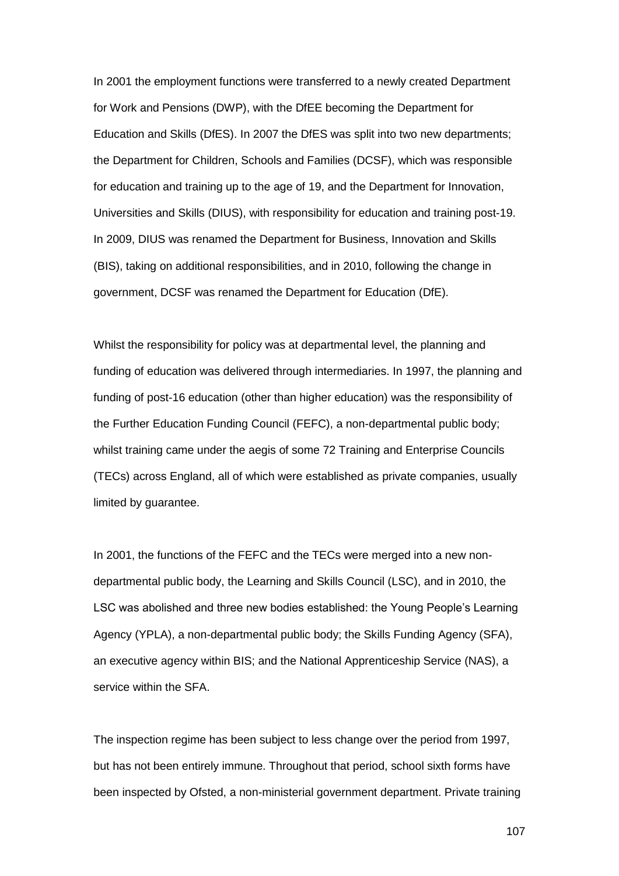In 2001 the employment functions were transferred to a newly created Department for Work and Pensions (DWP), with the DfEE becoming the Department for Education and Skills (DfES). In 2007 the DfES was split into two new departments; the Department for Children, Schools and Families (DCSF), which was responsible for education and training up to the age of 19, and the Department for Innovation, Universities and Skills (DIUS), with responsibility for education and training post-19. In 2009, DIUS was renamed the Department for Business, Innovation and Skills (BIS), taking on additional responsibilities, and in 2010, following the change in government, DCSF was renamed the Department for Education (DfE).

Whilst the responsibility for policy was at departmental level, the planning and funding of education was delivered through intermediaries. In 1997, the planning and funding of post-16 education (other than higher education) was the responsibility of the Further Education Funding Council (FEFC), a non-departmental public body; whilst training came under the aegis of some 72 Training and Enterprise Councils (TECs) across England, all of which were established as private companies, usually limited by guarantee.

In 2001, the functions of the FEFC and the TECs were merged into a new nondepartmental public body, the Learning and Skills Council (LSC), and in 2010, the LSC was abolished and three new bodies established: the Young People"s Learning Agency (YPLA), a non-departmental public body; the Skills Funding Agency (SFA), an executive agency within BIS; and the National Apprenticeship Service (NAS), a service within the SFA.

The inspection regime has been subject to less change over the period from 1997, but has not been entirely immune. Throughout that period, school sixth forms have been inspected by Ofsted, a non-ministerial government department. Private training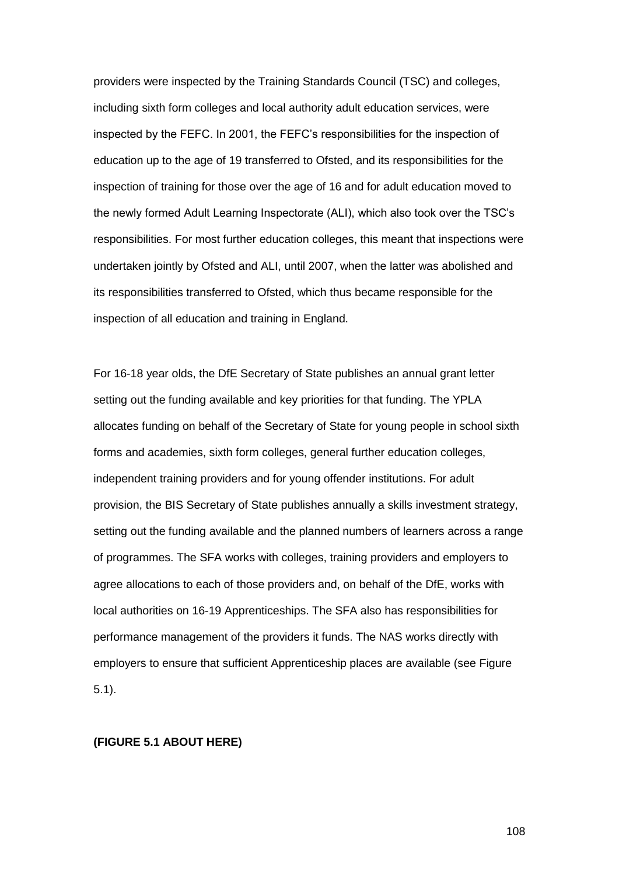providers were inspected by the Training Standards Council (TSC) and colleges, including sixth form colleges and local authority adult education services, were inspected by the FEFC. In 2001, the FEFC"s responsibilities for the inspection of education up to the age of 19 transferred to Ofsted, and its responsibilities for the inspection of training for those over the age of 16 and for adult education moved to the newly formed Adult Learning Inspectorate (ALI), which also took over the TSC"s responsibilities. For most further education colleges, this meant that inspections were undertaken jointly by Ofsted and ALI, until 2007, when the latter was abolished and its responsibilities transferred to Ofsted, which thus became responsible for the inspection of all education and training in England.

For 16-18 year olds, the DfE Secretary of State publishes an annual grant letter setting out the funding available and key priorities for that funding. The YPLA allocates funding on behalf of the Secretary of State for young people in school sixth forms and academies, sixth form colleges, general further education colleges, independent training providers and for young offender institutions. For adult provision, the BIS Secretary of State publishes annually a skills investment strategy, setting out the funding available and the planned numbers of learners across a range of programmes. The SFA works with colleges, training providers and employers to agree allocations to each of those providers and, on behalf of the DfE, works with local authorities on 16-19 Apprenticeships. The SFA also has responsibilities for performance management of the providers it funds. The NAS works directly with employers to ensure that sufficient Apprenticeship places are available (see Figure 5.1).

#### **(FIGURE 5.1 ABOUT HERE)**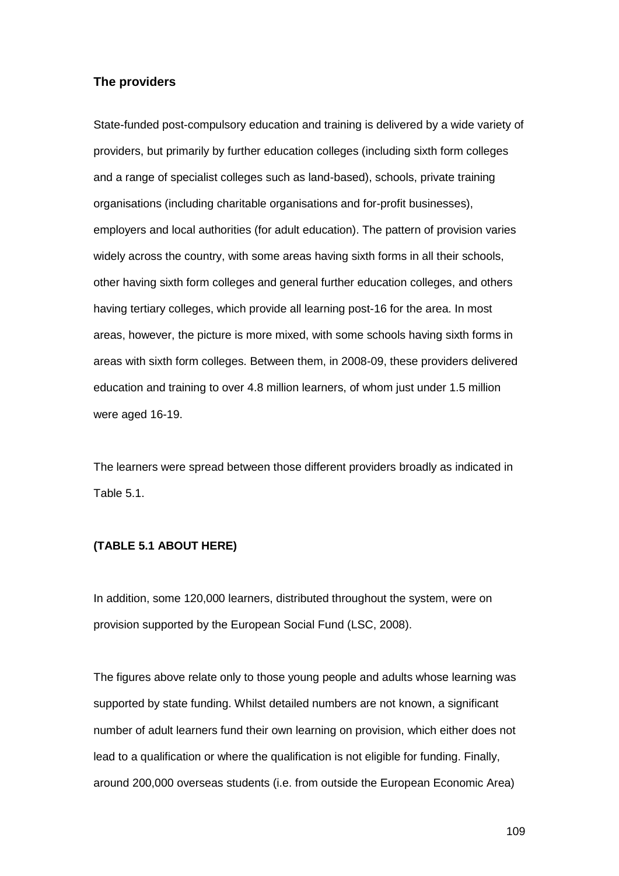#### **The providers**

State-funded post-compulsory education and training is delivered by a wide variety of providers, but primarily by further education colleges (including sixth form colleges and a range of specialist colleges such as land-based), schools, private training organisations (including charitable organisations and for-profit businesses), employers and local authorities (for adult education). The pattern of provision varies widely across the country, with some areas having sixth forms in all their schools, other having sixth form colleges and general further education colleges, and others having tertiary colleges, which provide all learning post-16 for the area. In most areas, however, the picture is more mixed, with some schools having sixth forms in areas with sixth form colleges. Between them, in 2008-09, these providers delivered education and training to over 4.8 million learners, of whom just under 1.5 million were aged 16-19.

The learners were spread between those different providers broadly as indicated in Table 5.1.

#### **(TABLE 5.1 ABOUT HERE)**

In addition, some 120,000 learners, distributed throughout the system, were on provision supported by the European Social Fund (LSC, 2008).

The figures above relate only to those young people and adults whose learning was supported by state funding. Whilst detailed numbers are not known, a significant number of adult learners fund their own learning on provision, which either does not lead to a qualification or where the qualification is not eligible for funding. Finally, around 200,000 overseas students (i.e. from outside the European Economic Area)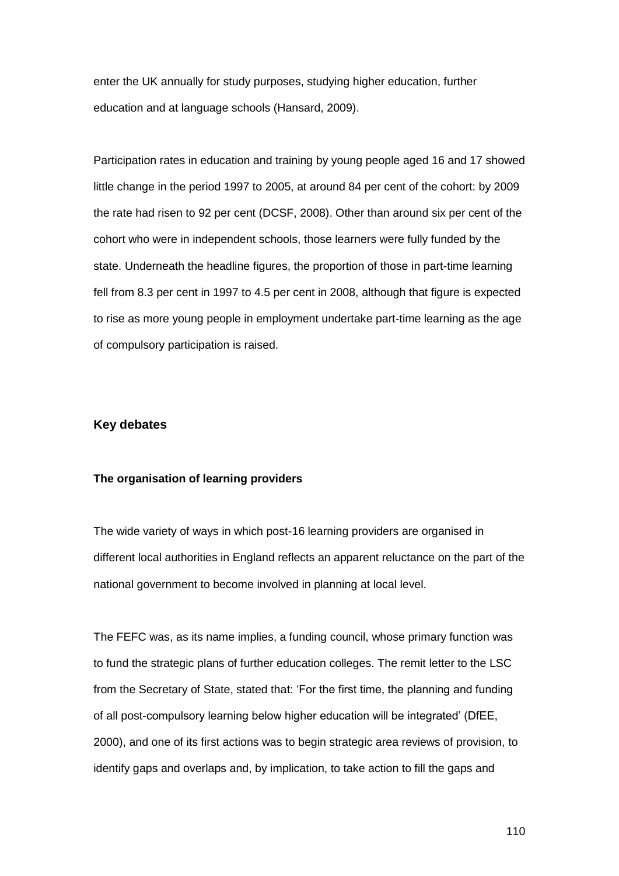enter the UK annually for study purposes, studying higher education, further education and at language schools (Hansard, 2009).

Participation rates in education and training by young people aged 16 and 17 showed little change in the period 1997 to 2005, at around 84 per cent of the cohort: by 2009 the rate had risen to 92 per cent (DCSF, 2008). Other than around six per cent of the cohort who were in independent schools, those learners were fully funded by the state. Underneath the headline figures, the proportion of those in part-time learning fell from 8.3 per cent in 1997 to 4.5 per cent in 2008, although that figure is expected to rise as more young people in employment undertake part-time learning as the age of compulsory participation is raised.

#### **Key debates**

#### **The organisation of learning providers**

The wide variety of ways in which post-16 learning providers are organised in different local authorities in England reflects an apparent reluctance on the part of the national government to become involved in planning at local level.

The FEFC was, as its name implies, a funding council, whose primary function was to fund the strategic plans of further education colleges. The remit letter to the LSC from the Secretary of State, stated that: "For the first time, the planning and funding of all post-compulsory learning below higher education will be integrated" (DfEE, 2000), and one of its first actions was to begin strategic area reviews of provision, to identify gaps and overlaps and, by implication, to take action to fill the gaps and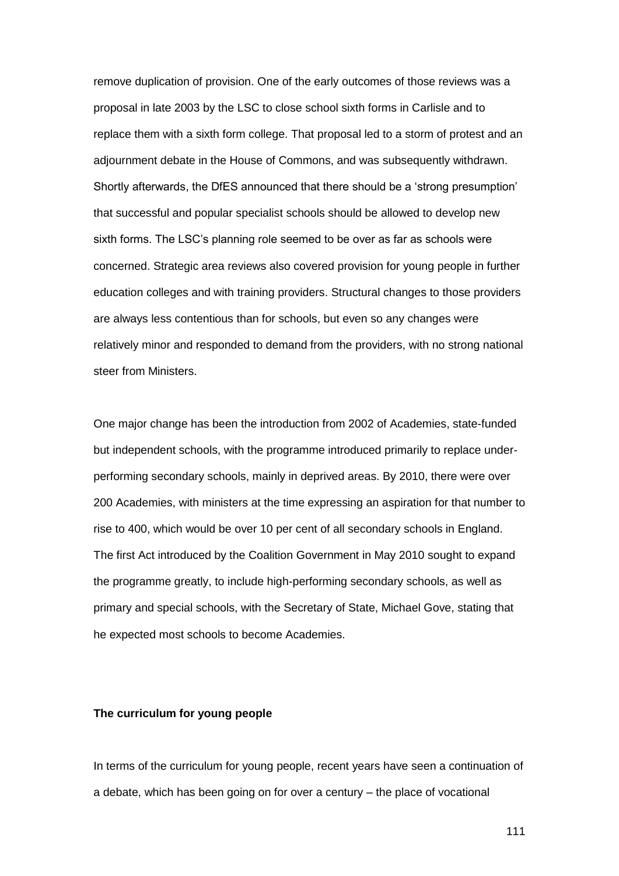remove duplication of provision. One of the early outcomes of those reviews was a proposal in late 2003 by the LSC to close school sixth forms in Carlisle and to replace them with a sixth form college. That proposal led to a storm of protest and an adjournment debate in the House of Commons, and was subsequently withdrawn. Shortly afterwards, the DfES announced that there should be a "strong presumption" that successful and popular specialist schools should be allowed to develop new sixth forms. The LSC"s planning role seemed to be over as far as schools were concerned. Strategic area reviews also covered provision for young people in further education colleges and with training providers. Structural changes to those providers are always less contentious than for schools, but even so any changes were relatively minor and responded to demand from the providers, with no strong national steer from Ministers.

One major change has been the introduction from 2002 of Academies, state-funded but independent schools, with the programme introduced primarily to replace underperforming secondary schools, mainly in deprived areas. By 2010, there were over 200 Academies, with ministers at the time expressing an aspiration for that number to rise to 400, which would be over 10 per cent of all secondary schools in England. The first Act introduced by the Coalition Government in May 2010 sought to expand the programme greatly, to include high-performing secondary schools, as well as primary and special schools, with the Secretary of State, Michael Gove, stating that he expected most schools to become Academies.

#### **The curriculum for young people**

In terms of the curriculum for young people, recent years have seen a continuation of a debate, which has been going on for over a century – the place of vocational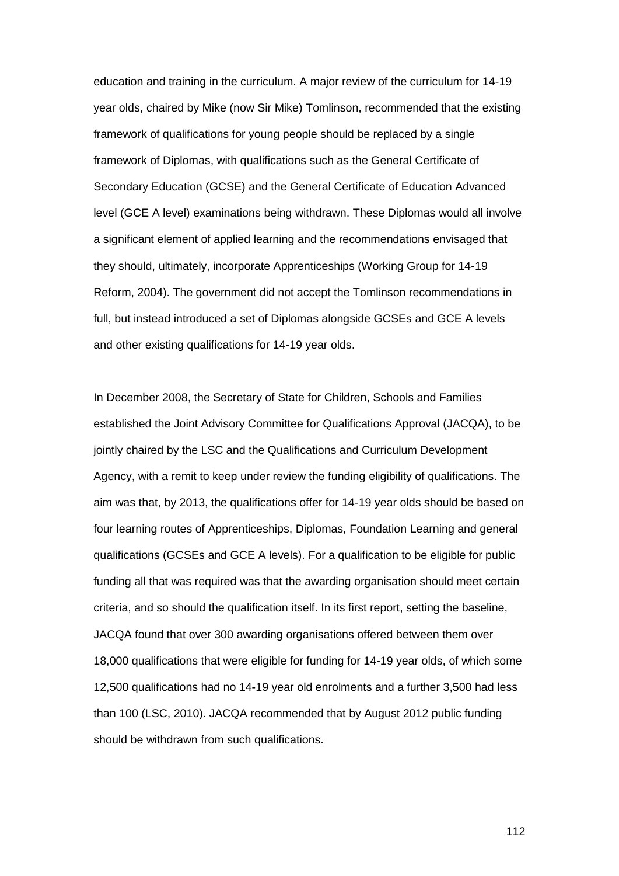education and training in the curriculum. A major review of the curriculum for 14-19 year olds, chaired by Mike (now Sir Mike) Tomlinson, recommended that the existing framework of qualifications for young people should be replaced by a single framework of Diplomas, with qualifications such as the General Certificate of Secondary Education (GCSE) and the General Certificate of Education Advanced level (GCE A level) examinations being withdrawn. These Diplomas would all involve a significant element of applied learning and the recommendations envisaged that they should, ultimately, incorporate Apprenticeships (Working Group for 14-19 Reform, 2004). The government did not accept the Tomlinson recommendations in full, but instead introduced a set of Diplomas alongside GCSEs and GCE A levels and other existing qualifications for 14-19 year olds.

In December 2008, the Secretary of State for Children, Schools and Families established the Joint Advisory Committee for Qualifications Approval (JACQA), to be jointly chaired by the LSC and the Qualifications and Curriculum Development Agency, with a remit to keep under review the funding eligibility of qualifications. The aim was that, by 2013, the qualifications offer for 14-19 year olds should be based on four learning routes of Apprenticeships, Diplomas, Foundation Learning and general qualifications (GCSEs and GCE A levels). For a qualification to be eligible for public funding all that was required was that the awarding organisation should meet certain criteria, and so should the qualification itself. In its first report, setting the baseline, JACQA found that over 300 awarding organisations offered between them over 18,000 qualifications that were eligible for funding for 14-19 year olds, of which some 12,500 qualifications had no 14-19 year old enrolments and a further 3,500 had less than 100 (LSC, 2010). JACQA recommended that by August 2012 public funding should be withdrawn from such qualifications.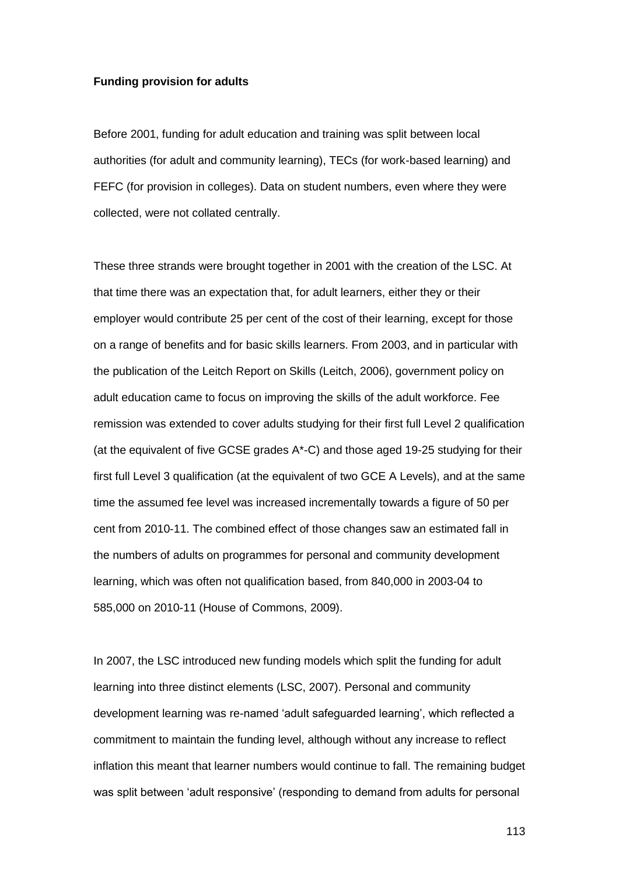#### **Funding provision for adults**

Before 2001, funding for adult education and training was split between local authorities (for adult and community learning), TECs (for work-based learning) and FEFC (for provision in colleges). Data on student numbers, even where they were collected, were not collated centrally.

These three strands were brought together in 2001 with the creation of the LSC. At that time there was an expectation that, for adult learners, either they or their employer would contribute 25 per cent of the cost of their learning, except for those on a range of benefits and for basic skills learners. From 2003, and in particular with the publication of the Leitch Report on Skills (Leitch, 2006), government policy on adult education came to focus on improving the skills of the adult workforce. Fee remission was extended to cover adults studying for their first full Level 2 qualification (at the equivalent of five GCSE grades A\*-C) and those aged 19-25 studying for their first full Level 3 qualification (at the equivalent of two GCE A Levels), and at the same time the assumed fee level was increased incrementally towards a figure of 50 per cent from 2010-11. The combined effect of those changes saw an estimated fall in the numbers of adults on programmes for personal and community development learning, which was often not qualification based, from 840,000 in 2003-04 to 585,000 on 2010-11 (House of Commons, 2009).

In 2007, the LSC introduced new funding models which split the funding for adult learning into three distinct elements (LSC, 2007). Personal and community development learning was re-named "adult safeguarded learning", which reflected a commitment to maintain the funding level, although without any increase to reflect inflation this meant that learner numbers would continue to fall. The remaining budget was split between "adult responsive" (responding to demand from adults for personal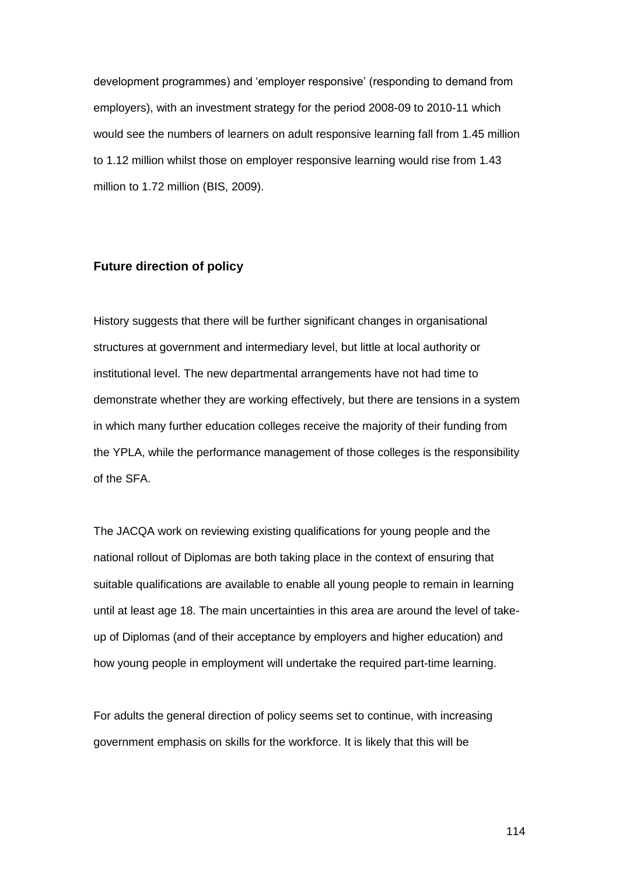development programmes) and "employer responsive" (responding to demand from employers), with an investment strategy for the period 2008-09 to 2010-11 which would see the numbers of learners on adult responsive learning fall from 1.45 million to 1.12 million whilst those on employer responsive learning would rise from 1.43 million to 1.72 million (BIS, 2009).

#### **Future direction of policy**

History suggests that there will be further significant changes in organisational structures at government and intermediary level, but little at local authority or institutional level. The new departmental arrangements have not had time to demonstrate whether they are working effectively, but there are tensions in a system in which many further education colleges receive the majority of their funding from the YPLA, while the performance management of those colleges is the responsibility of the SFA.

The JACQA work on reviewing existing qualifications for young people and the national rollout of Diplomas are both taking place in the context of ensuring that suitable qualifications are available to enable all young people to remain in learning until at least age 18. The main uncertainties in this area are around the level of takeup of Diplomas (and of their acceptance by employers and higher education) and how young people in employment will undertake the required part-time learning.

For adults the general direction of policy seems set to continue, with increasing government emphasis on skills for the workforce. It is likely that this will be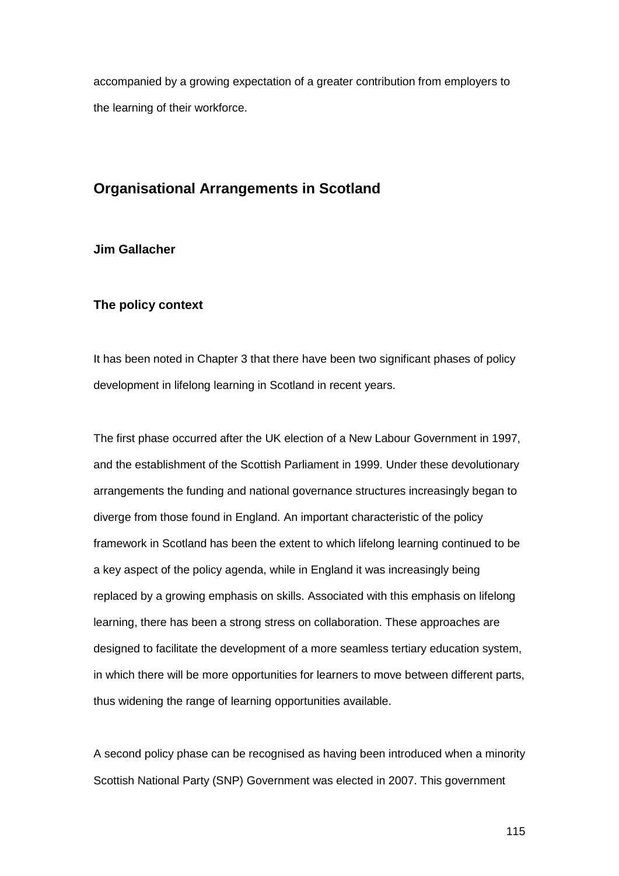accompanied by a growing expectation of a greater contribution from employers to the learning of their workforce.

# **Organisational Arrangements in Scotland**

**Jim Gallacher**

## **The policy context**

It has been noted in Chapter 3 that there have been two significant phases of policy development in lifelong learning in Scotland in recent years.

The first phase occurred after the UK election of a New Labour Government in 1997, and the establishment of the Scottish Parliament in 1999. Under these devolutionary arrangements the funding and national governance structures increasingly began to diverge from those found in England. An important characteristic of the policy framework in Scotland has been the extent to which lifelong learning continued to be a key aspect of the policy agenda, while in England it was increasingly being replaced by a growing emphasis on skills. Associated with this emphasis on lifelong learning, there has been a strong stress on collaboration. These approaches are designed to facilitate the development of a more seamless tertiary education system, in which there will be more opportunities for learners to move between different parts, thus widening the range of learning opportunities available.

A second policy phase can be recognised as having been introduced when a minority Scottish National Party (SNP) Government was elected in 2007. This government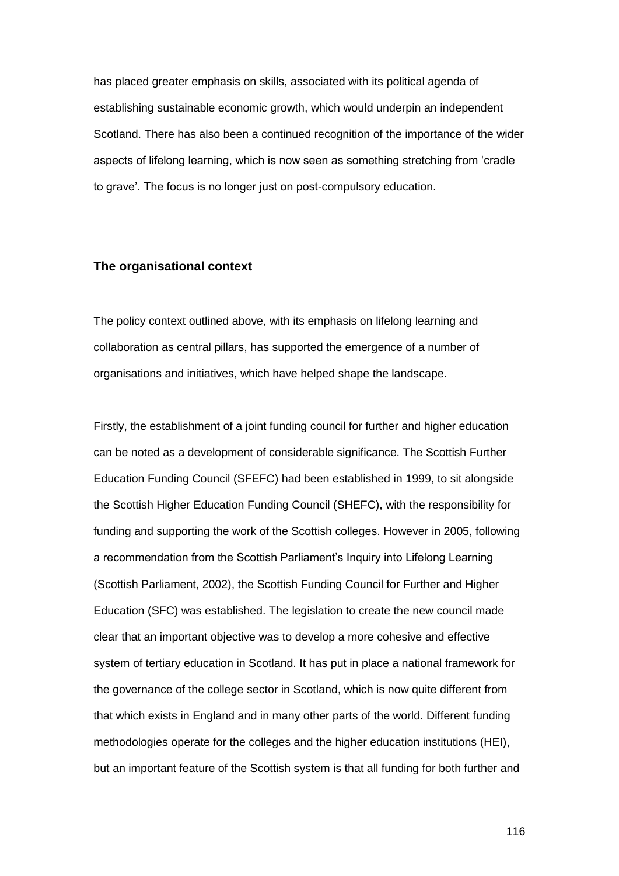has placed greater emphasis on skills, associated with its political agenda of establishing sustainable economic growth, which would underpin an independent Scotland. There has also been a continued recognition of the importance of the wider aspects of lifelong learning, which is now seen as something stretching from "cradle to grave'. The focus is no longer just on post-compulsory education.

#### **The organisational context**

The policy context outlined above, with its emphasis on lifelong learning and collaboration as central pillars, has supported the emergence of a number of organisations and initiatives, which have helped shape the landscape.

Firstly, the establishment of a joint funding council for further and higher education can be noted as a development of considerable significance. The Scottish Further Education Funding Council (SFEFC) had been established in 1999, to sit alongside the Scottish Higher Education Funding Council (SHEFC), with the responsibility for funding and supporting the work of the Scottish colleges. However in 2005, following a recommendation from the Scottish Parliament's Inquiry into Lifelong Learning (Scottish Parliament, 2002), the Scottish Funding Council for Further and Higher Education (SFC) was established. The legislation to create the new council made clear that an important objective was to develop a more cohesive and effective system of tertiary education in Scotland. It has put in place a national framework for the governance of the college sector in Scotland, which is now quite different from that which exists in England and in many other parts of the world. Different funding methodologies operate for the colleges and the higher education institutions (HEI), but an important feature of the Scottish system is that all funding for both further and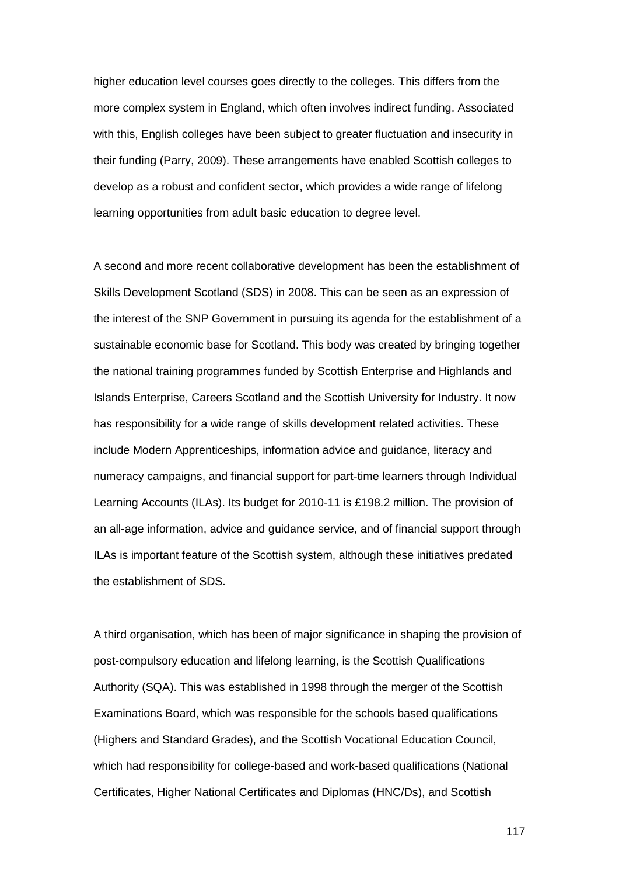higher education level courses goes directly to the colleges. This differs from the more complex system in England, which often involves indirect funding. Associated with this, English colleges have been subject to greater fluctuation and insecurity in their funding (Parry, 2009). These arrangements have enabled Scottish colleges to develop as a robust and confident sector, which provides a wide range of lifelong learning opportunities from adult basic education to degree level.

A second and more recent collaborative development has been the establishment of Skills Development Scotland (SDS) in 2008. This can be seen as an expression of the interest of the SNP Government in pursuing its agenda for the establishment of a sustainable economic base for Scotland. This body was created by bringing together the national training programmes funded by Scottish Enterprise and Highlands and Islands Enterprise, Careers Scotland and the Scottish University for Industry. It now has responsibility for a wide range of skills development related activities. These include Modern Apprenticeships, information advice and guidance, literacy and numeracy campaigns, and financial support for part-time learners through Individual Learning Accounts (ILAs). Its budget for 2010-11 is £198.2 million. The provision of an all-age information, advice and guidance service, and of financial support through ILAs is important feature of the Scottish system, although these initiatives predated the establishment of SDS.

A third organisation, which has been of major significance in shaping the provision of post-compulsory education and lifelong learning, is the Scottish Qualifications Authority (SQA). This was established in 1998 through the merger of the Scottish Examinations Board, which was responsible for the schools based qualifications (Highers and Standard Grades), and the Scottish Vocational Education Council, which had responsibility for college-based and work-based qualifications (National Certificates, Higher National Certificates and Diplomas (HNC/Ds), and Scottish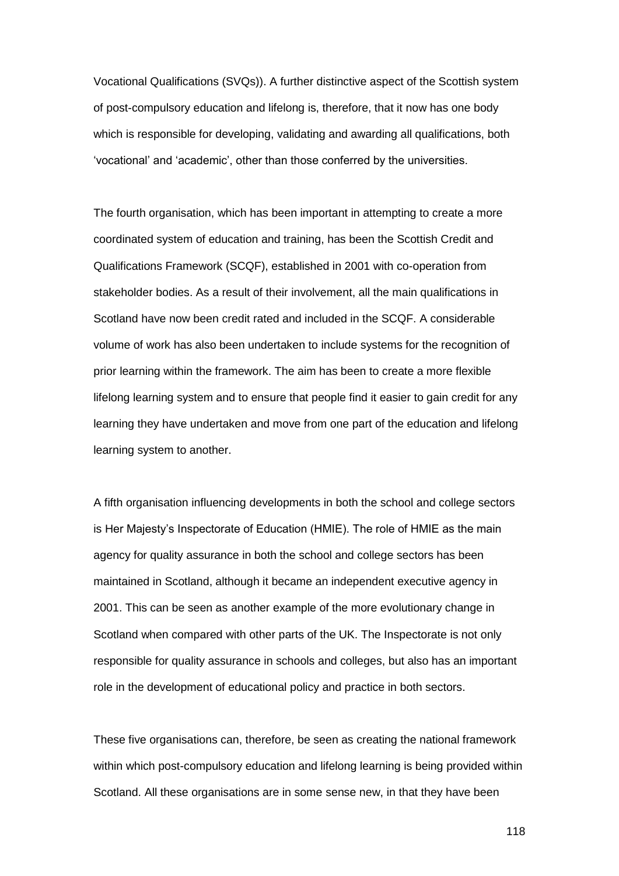Vocational Qualifications (SVQs)). A further distinctive aspect of the Scottish system of post-compulsory education and lifelong is, therefore, that it now has one body which is responsible for developing, validating and awarding all qualifications, both "vocational" and "academic", other than those conferred by the universities.

The fourth organisation, which has been important in attempting to create a more coordinated system of education and training, has been the Scottish Credit and Qualifications Framework (SCQF), established in 2001 with co-operation from stakeholder bodies. As a result of their involvement, all the main qualifications in Scotland have now been credit rated and included in the SCQF. A considerable volume of work has also been undertaken to include systems for the recognition of prior learning within the framework. The aim has been to create a more flexible lifelong learning system and to ensure that people find it easier to gain credit for any learning they have undertaken and move from one part of the education and lifelong learning system to another.

A fifth organisation influencing developments in both the school and college sectors is Her Majesty's Inspectorate of Education (HMIE). The role of HMIE as the main agency for quality assurance in both the school and college sectors has been maintained in Scotland, although it became an independent executive agency in 2001. This can be seen as another example of the more evolutionary change in Scotland when compared with other parts of the UK. The Inspectorate is not only responsible for quality assurance in schools and colleges, but also has an important role in the development of educational policy and practice in both sectors.

These five organisations can, therefore, be seen as creating the national framework within which post-compulsory education and lifelong learning is being provided within Scotland. All these organisations are in some sense new, in that they have been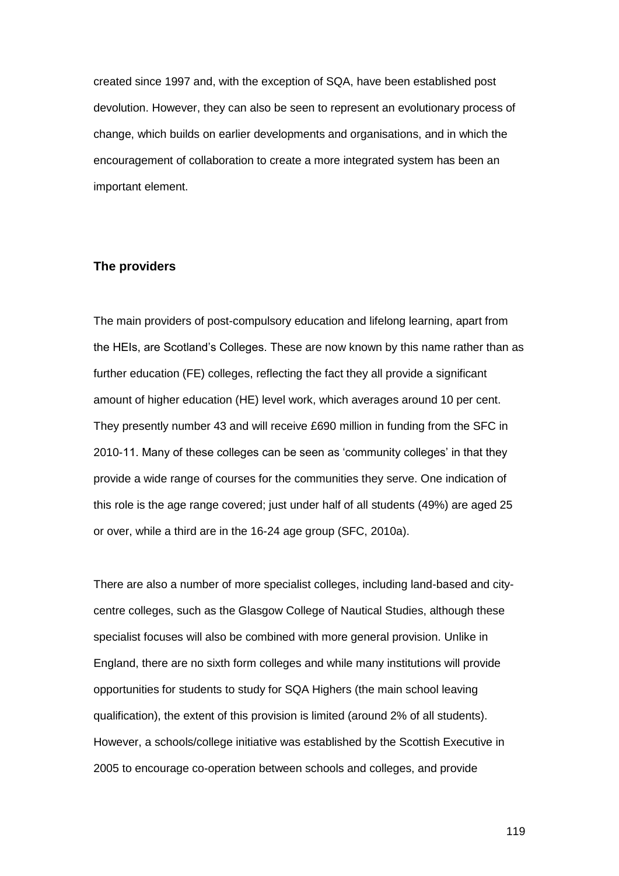created since 1997 and, with the exception of SQA, have been established post devolution. However, they can also be seen to represent an evolutionary process of change, which builds on earlier developments and organisations, and in which the encouragement of collaboration to create a more integrated system has been an important element.

#### **The providers**

The main providers of post-compulsory education and lifelong learning, apart from the HEIs, are Scotland"s Colleges. These are now known by this name rather than as further education (FE) colleges, reflecting the fact they all provide a significant amount of higher education (HE) level work, which averages around 10 per cent. They presently number 43 and will receive £690 million in funding from the SFC in 2010-11. Many of these colleges can be seen as "community colleges" in that they provide a wide range of courses for the communities they serve. One indication of this role is the age range covered; just under half of all students (49%) are aged 25 or over, while a third are in the 16-24 age group (SFC, 2010a).

There are also a number of more specialist colleges, including land-based and citycentre colleges, such as the Glasgow College of Nautical Studies, although these specialist focuses will also be combined with more general provision. Unlike in England, there are no sixth form colleges and while many institutions will provide opportunities for students to study for SQA Highers (the main school leaving qualification), the extent of this provision is limited (around 2% of all students). However, a schools/college initiative was established by the Scottish Executive in 2005 to encourage co-operation between schools and colleges, and provide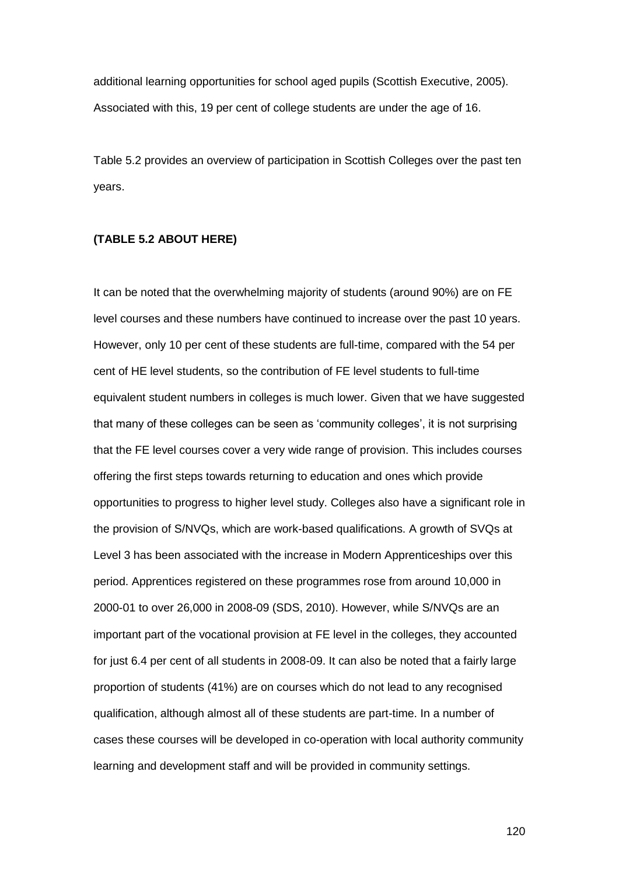additional learning opportunities for school aged pupils (Scottish Executive, 2005). Associated with this, 19 per cent of college students are under the age of 16.

Table 5.2 provides an overview of participation in Scottish Colleges over the past ten years.

#### **(TABLE 5.2 ABOUT HERE)**

It can be noted that the overwhelming majority of students (around 90%) are on FE level courses and these numbers have continued to increase over the past 10 years. However, only 10 per cent of these students are full-time, compared with the 54 per cent of HE level students, so the contribution of FE level students to full-time equivalent student numbers in colleges is much lower. Given that we have suggested that many of these colleges can be seen as "community colleges", it is not surprising that the FE level courses cover a very wide range of provision. This includes courses offering the first steps towards returning to education and ones which provide opportunities to progress to higher level study. Colleges also have a significant role in the provision of S/NVQs, which are work-based qualifications. A growth of SVQs at Level 3 has been associated with the increase in Modern Apprenticeships over this period. Apprentices registered on these programmes rose from around 10,000 in 2000-01 to over 26,000 in 2008-09 (SDS, 2010). However, while S/NVQs are an important part of the vocational provision at FE level in the colleges, they accounted for just 6.4 per cent of all students in 2008-09. It can also be noted that a fairly large proportion of students (41%) are on courses which do not lead to any recognised qualification, although almost all of these students are part-time. In a number of cases these courses will be developed in co-operation with local authority community learning and development staff and will be provided in community settings.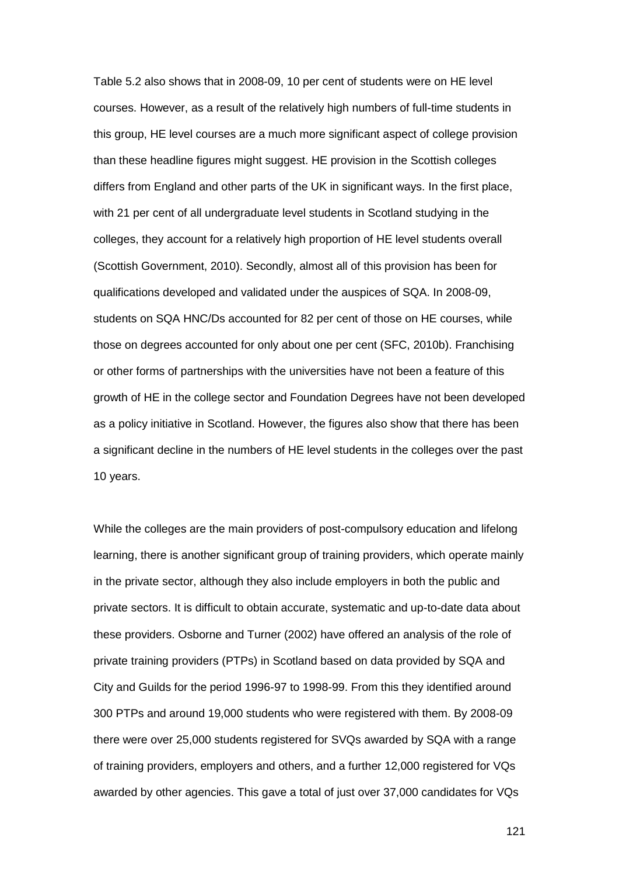Table 5.2 also shows that in 2008-09, 10 per cent of students were on HE level courses. However, as a result of the relatively high numbers of full-time students in this group, HE level courses are a much more significant aspect of college provision than these headline figures might suggest. HE provision in the Scottish colleges differs from England and other parts of the UK in significant ways. In the first place, with 21 per cent of all undergraduate level students in Scotland studying in the colleges, they account for a relatively high proportion of HE level students overall (Scottish Government, 2010). Secondly, almost all of this provision has been for qualifications developed and validated under the auspices of SQA. In 2008-09, students on SQA HNC/Ds accounted for 82 per cent of those on HE courses, while those on degrees accounted for only about one per cent (SFC, 2010b). Franchising or other forms of partnerships with the universities have not been a feature of this growth of HE in the college sector and Foundation Degrees have not been developed as a policy initiative in Scotland. However, the figures also show that there has been a significant decline in the numbers of HE level students in the colleges over the past 10 years.

While the colleges are the main providers of post-compulsory education and lifelong learning, there is another significant group of training providers, which operate mainly in the private sector, although they also include employers in both the public and private sectors. It is difficult to obtain accurate, systematic and up-to-date data about these providers. Osborne and Turner (2002) have offered an analysis of the role of private training providers (PTPs) in Scotland based on data provided by SQA and City and Guilds for the period 1996-97 to 1998-99. From this they identified around 300 PTPs and around 19,000 students who were registered with them. By 2008-09 there were over 25,000 students registered for SVQs awarded by SQA with a range of training providers, employers and others, and a further 12,000 registered for VQs awarded by other agencies. This gave a total of just over 37,000 candidates for VQs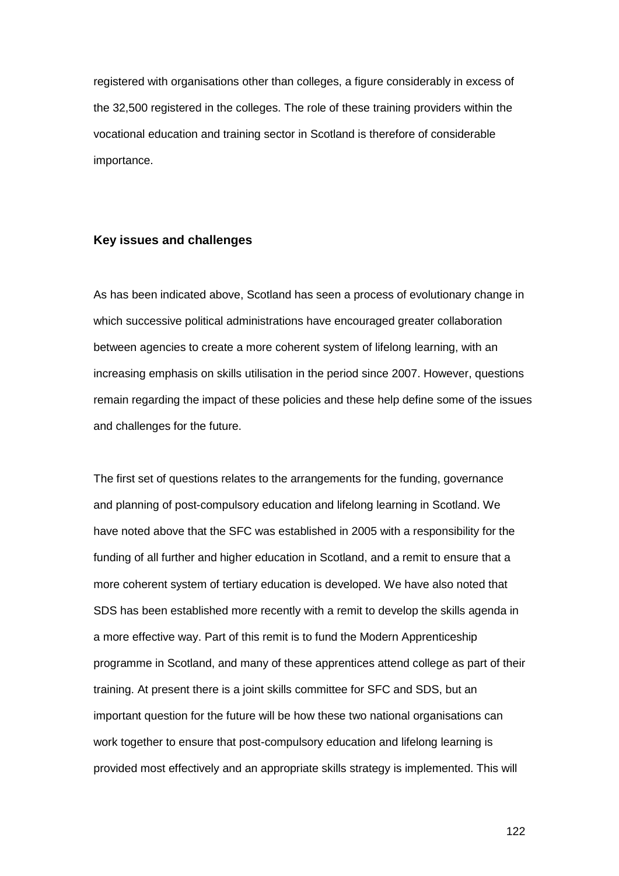registered with organisations other than colleges, a figure considerably in excess of the 32,500 registered in the colleges. The role of these training providers within the vocational education and training sector in Scotland is therefore of considerable importance.

#### **Key issues and challenges**

As has been indicated above, Scotland has seen a process of evolutionary change in which successive political administrations have encouraged greater collaboration between agencies to create a more coherent system of lifelong learning, with an increasing emphasis on skills utilisation in the period since 2007. However, questions remain regarding the impact of these policies and these help define some of the issues and challenges for the future.

The first set of questions relates to the arrangements for the funding, governance and planning of post-compulsory education and lifelong learning in Scotland. We have noted above that the SFC was established in 2005 with a responsibility for the funding of all further and higher education in Scotland, and a remit to ensure that a more coherent system of tertiary education is developed. We have also noted that SDS has been established more recently with a remit to develop the skills agenda in a more effective way. Part of this remit is to fund the Modern Apprenticeship programme in Scotland, and many of these apprentices attend college as part of their training. At present there is a joint skills committee for SFC and SDS, but an important question for the future will be how these two national organisations can work together to ensure that post-compulsory education and lifelong learning is provided most effectively and an appropriate skills strategy is implemented. This will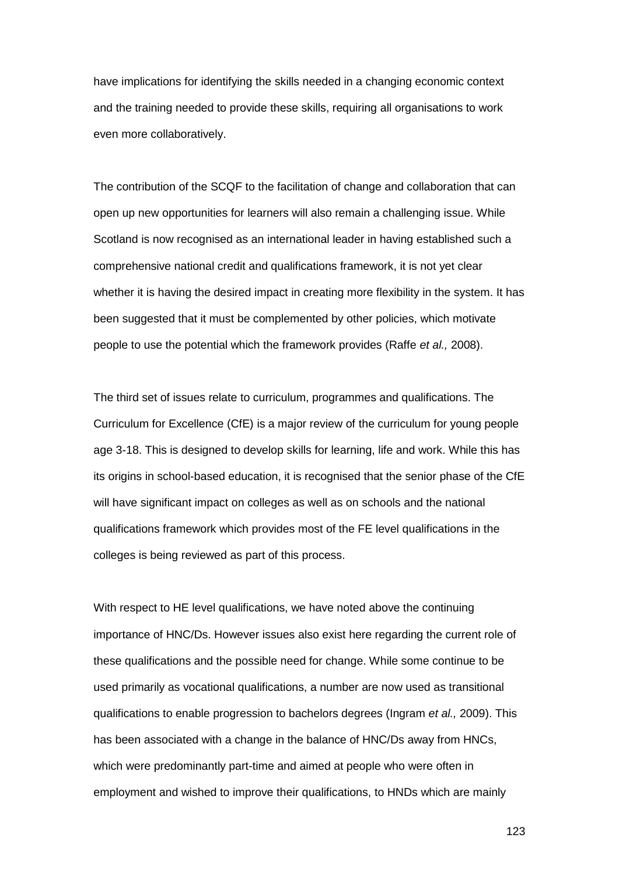have implications for identifying the skills needed in a changing economic context and the training needed to provide these skills, requiring all organisations to work even more collaboratively.

The contribution of the SCQF to the facilitation of change and collaboration that can open up new opportunities for learners will also remain a challenging issue. While Scotland is now recognised as an international leader in having established such a comprehensive national credit and qualifications framework, it is not yet clear whether it is having the desired impact in creating more flexibility in the system. It has been suggested that it must be complemented by other policies, which motivate people to use the potential which the framework provides (Raffe *et al.,* 2008).

The third set of issues relate to curriculum, programmes and qualifications. The Curriculum for Excellence (CfE) is a major review of the curriculum for young people age 3-18. This is designed to develop skills for learning, life and work. While this has its origins in school-based education, it is recognised that the senior phase of the CfE will have significant impact on colleges as well as on schools and the national qualifications framework which provides most of the FE level qualifications in the colleges is being reviewed as part of this process.

With respect to HE level qualifications, we have noted above the continuing importance of HNC/Ds. However issues also exist here regarding the current role of these qualifications and the possible need for change. While some continue to be used primarily as vocational qualifications, a number are now used as transitional qualifications to enable progression to bachelors degrees (Ingram *et al.,* 2009). This has been associated with a change in the balance of HNC/Ds away from HNCs, which were predominantly part-time and aimed at people who were often in employment and wished to improve their qualifications, to HNDs which are mainly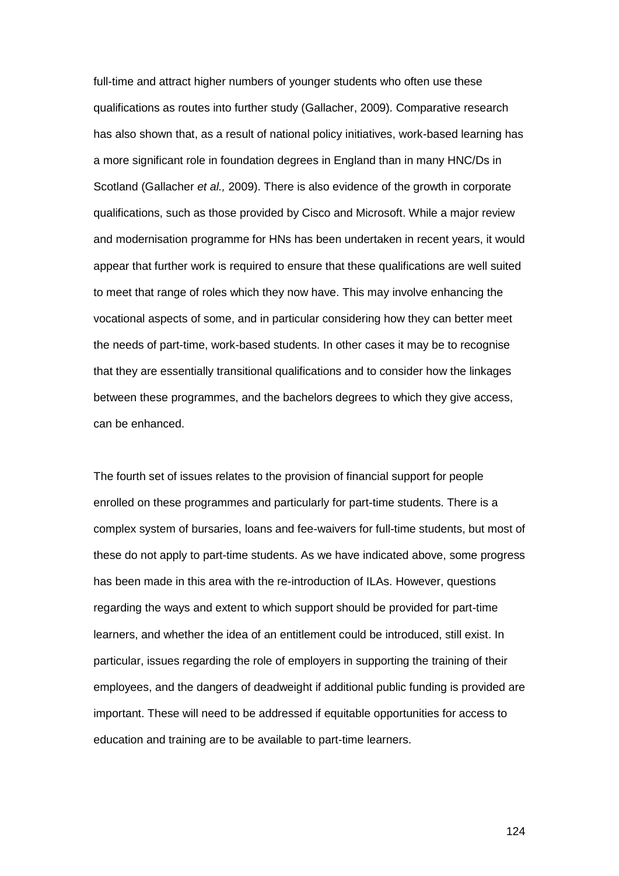full-time and attract higher numbers of younger students who often use these qualifications as routes into further study (Gallacher, 2009). Comparative research has also shown that, as a result of national policy initiatives, work-based learning has a more significant role in foundation degrees in England than in many HNC/Ds in Scotland (Gallacher *et al.,* 2009). There is also evidence of the growth in corporate qualifications, such as those provided by Cisco and Microsoft. While a major review and modernisation programme for HNs has been undertaken in recent years, it would appear that further work is required to ensure that these qualifications are well suited to meet that range of roles which they now have. This may involve enhancing the vocational aspects of some, and in particular considering how they can better meet the needs of part-time, work-based students. In other cases it may be to recognise that they are essentially transitional qualifications and to consider how the linkages between these programmes, and the bachelors degrees to which they give access, can be enhanced.

The fourth set of issues relates to the provision of financial support for people enrolled on these programmes and particularly for part-time students. There is a complex system of bursaries, loans and fee-waivers for full-time students, but most of these do not apply to part-time students. As we have indicated above, some progress has been made in this area with the re-introduction of ILAs. However, questions regarding the ways and extent to which support should be provided for part-time learners, and whether the idea of an entitlement could be introduced, still exist. In particular, issues regarding the role of employers in supporting the training of their employees, and the dangers of deadweight if additional public funding is provided are important. These will need to be addressed if equitable opportunities for access to education and training are to be available to part-time learners.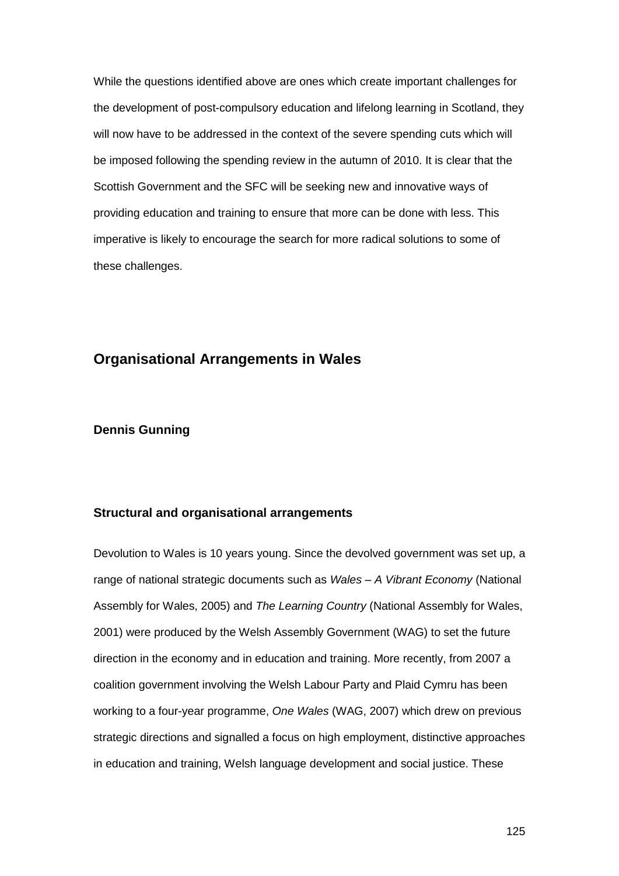While the questions identified above are ones which create important challenges for the development of post-compulsory education and lifelong learning in Scotland, they will now have to be addressed in the context of the severe spending cuts which will be imposed following the spending review in the autumn of 2010. It is clear that the Scottish Government and the SFC will be seeking new and innovative ways of providing education and training to ensure that more can be done with less. This imperative is likely to encourage the search for more radical solutions to some of these challenges.

# **Organisational Arrangements in Wales**

#### **Dennis Gunning**

#### **Structural and organisational arrangements**

Devolution to Wales is 10 years young. Since the devolved government was set up, a range of national strategic documents such as *Wales – A Vibrant Economy* (National Assembly for Wales, 2005) and *The Learning Country* (National Assembly for Wales, 2001) were produced by the Welsh Assembly Government (WAG) to set the future direction in the economy and in education and training. More recently, from 2007 a coalition government involving the Welsh Labour Party and Plaid Cymru has been working to a four-year programme, *One Wales* (WAG, 2007) which drew on previous strategic directions and signalled a focus on high employment, distinctive approaches in education and training, Welsh language development and social justice. These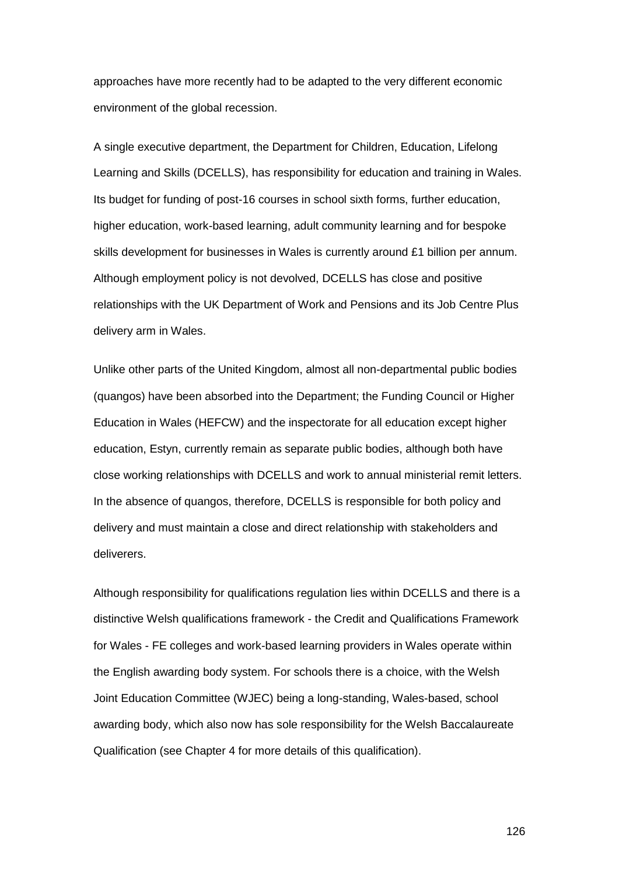approaches have more recently had to be adapted to the very different economic environment of the global recession.

A single executive department, the Department for Children, Education, Lifelong Learning and Skills (DCELLS), has responsibility for education and training in Wales. Its budget for funding of post-16 courses in school sixth forms, further education, higher education, work-based learning, adult community learning and for bespoke skills development for businesses in Wales is currently around £1 billion per annum. Although employment policy is not devolved, DCELLS has close and positive relationships with the UK Department of Work and Pensions and its Job Centre Plus delivery arm in Wales.

Unlike other parts of the United Kingdom, almost all non-departmental public bodies (quangos) have been absorbed into the Department; the Funding Council or Higher Education in Wales (HEFCW) and the inspectorate for all education except higher education, Estyn, currently remain as separate public bodies, although both have close working relationships with DCELLS and work to annual ministerial remit letters. In the absence of quangos, therefore, DCELLS is responsible for both policy and delivery and must maintain a close and direct relationship with stakeholders and deliverers.

Although responsibility for qualifications regulation lies within DCELLS and there is a distinctive Welsh qualifications framework - the Credit and Qualifications Framework for Wales - FE colleges and work-based learning providers in Wales operate within the English awarding body system. For schools there is a choice, with the Welsh Joint Education Committee (WJEC) being a long-standing, Wales-based, school awarding body, which also now has sole responsibility for the Welsh Baccalaureate Qualification (see Chapter 4 for more details of this qualification).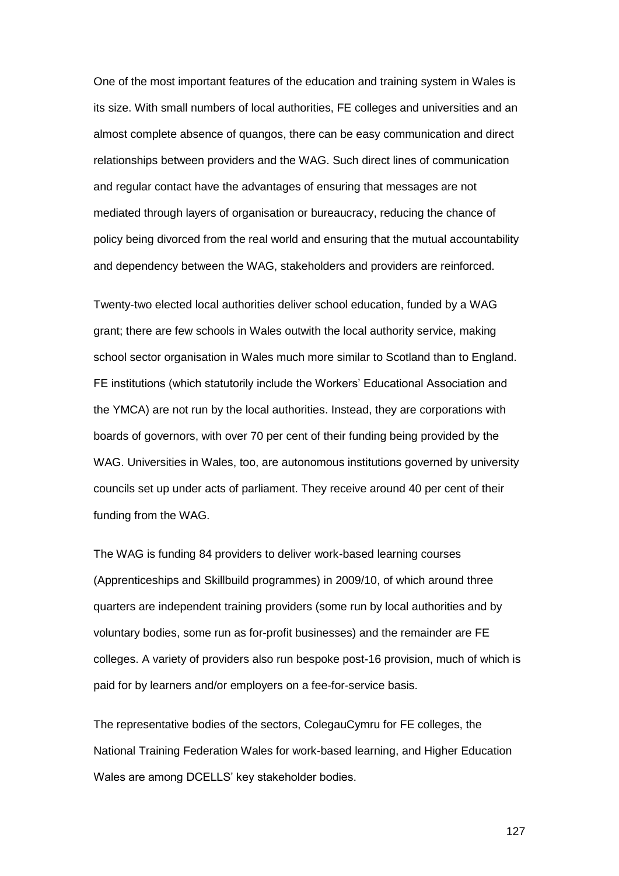One of the most important features of the education and training system in Wales is its size. With small numbers of local authorities, FE colleges and universities and an almost complete absence of quangos, there can be easy communication and direct relationships between providers and the WAG. Such direct lines of communication and regular contact have the advantages of ensuring that messages are not mediated through layers of organisation or bureaucracy, reducing the chance of policy being divorced from the real world and ensuring that the mutual accountability and dependency between the WAG, stakeholders and providers are reinforced.

Twenty-two elected local authorities deliver school education, funded by a WAG grant; there are few schools in Wales outwith the local authority service, making school sector organisation in Wales much more similar to Scotland than to England. FE institutions (which statutorily include the Workers" Educational Association and the YMCA) are not run by the local authorities. Instead, they are corporations with boards of governors, with over 70 per cent of their funding being provided by the WAG. Universities in Wales, too, are autonomous institutions governed by university councils set up under acts of parliament. They receive around 40 per cent of their funding from the WAG.

The WAG is funding 84 providers to deliver work-based learning courses (Apprenticeships and Skillbuild programmes) in 2009/10, of which around three quarters are independent training providers (some run by local authorities and by voluntary bodies, some run as for-profit businesses) and the remainder are FE colleges. A variety of providers also run bespoke post-16 provision, much of which is paid for by learners and/or employers on a fee-for-service basis.

The representative bodies of the sectors, ColegauCymru for FE colleges, the National Training Federation Wales for work-based learning, and Higher Education Wales are among DCELLS" key stakeholder bodies.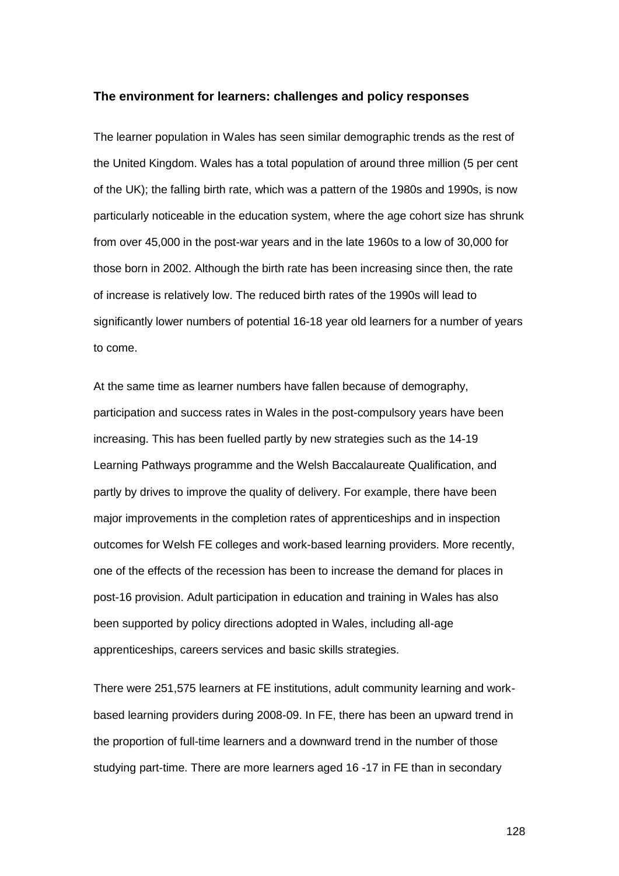#### **The environment for learners: challenges and policy responses**

The learner population in Wales has seen similar demographic trends as the rest of the United Kingdom. Wales has a total population of around three million (5 per cent of the UK); the falling birth rate, which was a pattern of the 1980s and 1990s, is now particularly noticeable in the education system, where the age cohort size has shrunk from over 45,000 in the post-war years and in the late 1960s to a low of 30,000 for those born in 2002. Although the birth rate has been increasing since then, the rate of increase is relatively low. The reduced birth rates of the 1990s will lead to significantly lower numbers of potential 16-18 year old learners for a number of years to come.

At the same time as learner numbers have fallen because of demography, participation and success rates in Wales in the post-compulsory years have been increasing. This has been fuelled partly by new strategies such as the 14-19 Learning Pathways programme and the Welsh Baccalaureate Qualification, and partly by drives to improve the quality of delivery. For example, there have been major improvements in the completion rates of apprenticeships and in inspection outcomes for Welsh FE colleges and work-based learning providers. More recently, one of the effects of the recession has been to increase the demand for places in post-16 provision. Adult participation in education and training in Wales has also been supported by policy directions adopted in Wales, including all-age apprenticeships, careers services and basic skills strategies.

There were 251,575 learners at FE institutions, adult community learning and workbased learning providers during 2008-09. In FE, there has been an upward trend in the proportion of full-time learners and a downward trend in the number of those studying part-time. There are more learners aged 16 -17 in FE than in secondary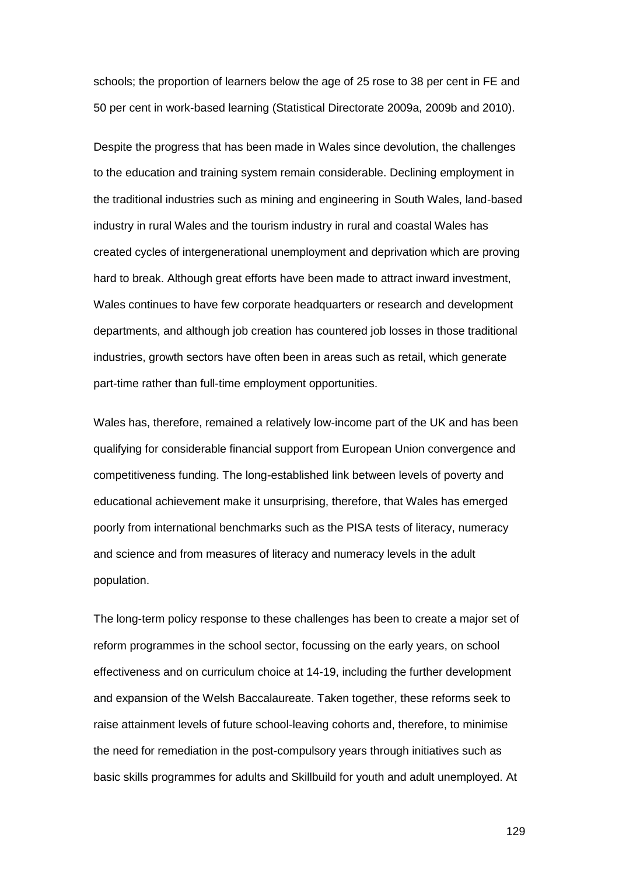schools; the proportion of learners below the age of 25 rose to 38 per cent in FE and 50 per cent in work-based learning (Statistical Directorate 2009a, 2009b and 2010).

Despite the progress that has been made in Wales since devolution, the challenges to the education and training system remain considerable. Declining employment in the traditional industries such as mining and engineering in South Wales, land-based industry in rural Wales and the tourism industry in rural and coastal Wales has created cycles of intergenerational unemployment and deprivation which are proving hard to break. Although great efforts have been made to attract inward investment, Wales continues to have few corporate headquarters or research and development departments, and although job creation has countered job losses in those traditional industries, growth sectors have often been in areas such as retail, which generate part-time rather than full-time employment opportunities.

Wales has, therefore, remained a relatively low-income part of the UK and has been qualifying for considerable financial support from European Union convergence and competitiveness funding. The long-established link between levels of poverty and educational achievement make it unsurprising, therefore, that Wales has emerged poorly from international benchmarks such as the PISA tests of literacy, numeracy and science and from measures of literacy and numeracy levels in the adult population.

The long-term policy response to these challenges has been to create a major set of reform programmes in the school sector, focussing on the early years, on school effectiveness and on curriculum choice at 14-19, including the further development and expansion of the Welsh Baccalaureate. Taken together, these reforms seek to raise attainment levels of future school-leaving cohorts and, therefore, to minimise the need for remediation in the post-compulsory years through initiatives such as basic skills programmes for adults and Skillbuild for youth and adult unemployed. At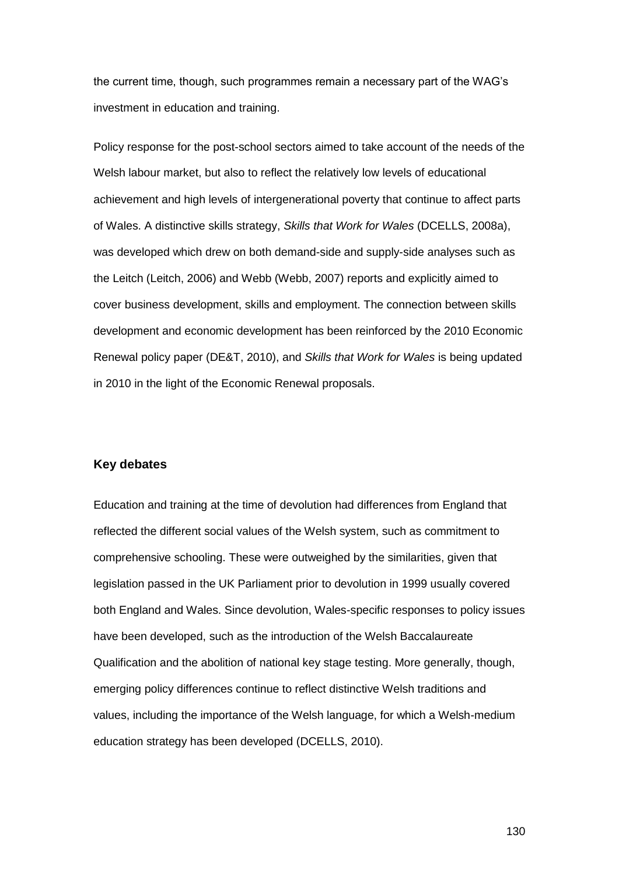the current time, though, such programmes remain a necessary part of the WAG"s investment in education and training.

Policy response for the post-school sectors aimed to take account of the needs of the Welsh labour market, but also to reflect the relatively low levels of educational achievement and high levels of intergenerational poverty that continue to affect parts of Wales. A distinctive skills strategy, *Skills that Work for Wales* (DCELLS, 2008a), was developed which drew on both demand-side and supply-side analyses such as the Leitch (Leitch, 2006) and Webb (Webb, 2007) reports and explicitly aimed to cover business development, skills and employment. The connection between skills development and economic development has been reinforced by the 2010 Economic Renewal policy paper (DE&T, 2010), and *Skills that Work for Wales* is being updated in 2010 in the light of the Economic Renewal proposals.

#### **Key debates**

Education and training at the time of devolution had differences from England that reflected the different social values of the Welsh system, such as commitment to comprehensive schooling. These were outweighed by the similarities, given that legislation passed in the UK Parliament prior to devolution in 1999 usually covered both England and Wales. Since devolution, Wales-specific responses to policy issues have been developed, such as the introduction of the Welsh Baccalaureate Qualification and the abolition of national key stage testing. More generally, though, emerging policy differences continue to reflect distinctive Welsh traditions and values, including the importance of the Welsh language, for which a Welsh-medium education strategy has been developed (DCELLS, 2010).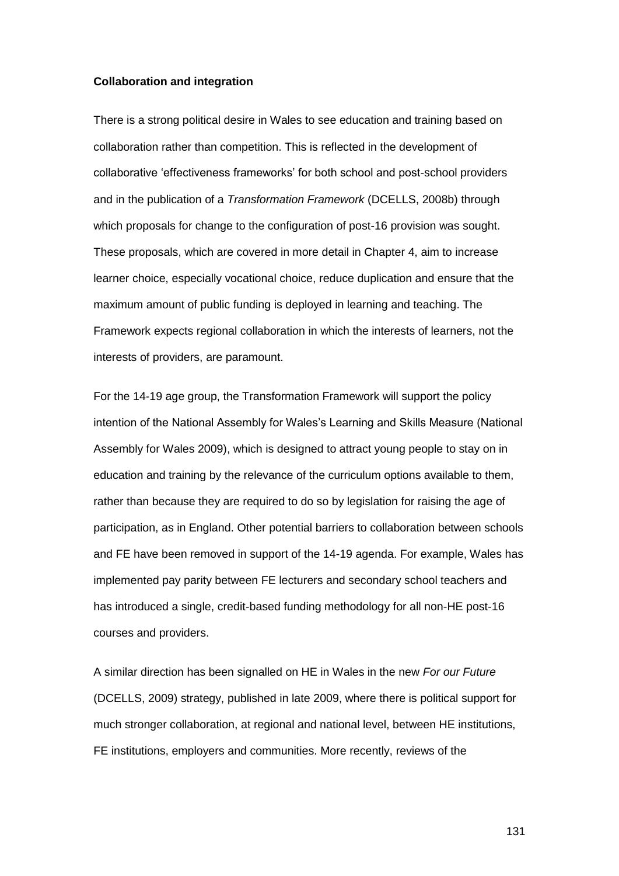#### **Collaboration and integration**

There is a strong political desire in Wales to see education and training based on collaboration rather than competition. This is reflected in the development of collaborative "effectiveness frameworks" for both school and post-school providers and in the publication of a *Transformation Framework* (DCELLS, 2008b) through which proposals for change to the configuration of post-16 provision was sought. These proposals, which are covered in more detail in Chapter 4, aim to increase learner choice, especially vocational choice, reduce duplication and ensure that the maximum amount of public funding is deployed in learning and teaching. The Framework expects regional collaboration in which the interests of learners, not the interests of providers, are paramount.

For the 14-19 age group, the Transformation Framework will support the policy intention of the National Assembly for Wales"s Learning and Skills Measure (National Assembly for Wales 2009), which is designed to attract young people to stay on in education and training by the relevance of the curriculum options available to them, rather than because they are required to do so by legislation for raising the age of participation, as in England. Other potential barriers to collaboration between schools and FE have been removed in support of the 14-19 agenda. For example, Wales has implemented pay parity between FE lecturers and secondary school teachers and has introduced a single, credit-based funding methodology for all non-HE post-16 courses and providers.

A similar direction has been signalled on HE in Wales in the new *For our Future*  (DCELLS, 2009) strategy, published in late 2009, where there is political support for much stronger collaboration, at regional and national level, between HE institutions, FE institutions, employers and communities. More recently, reviews of the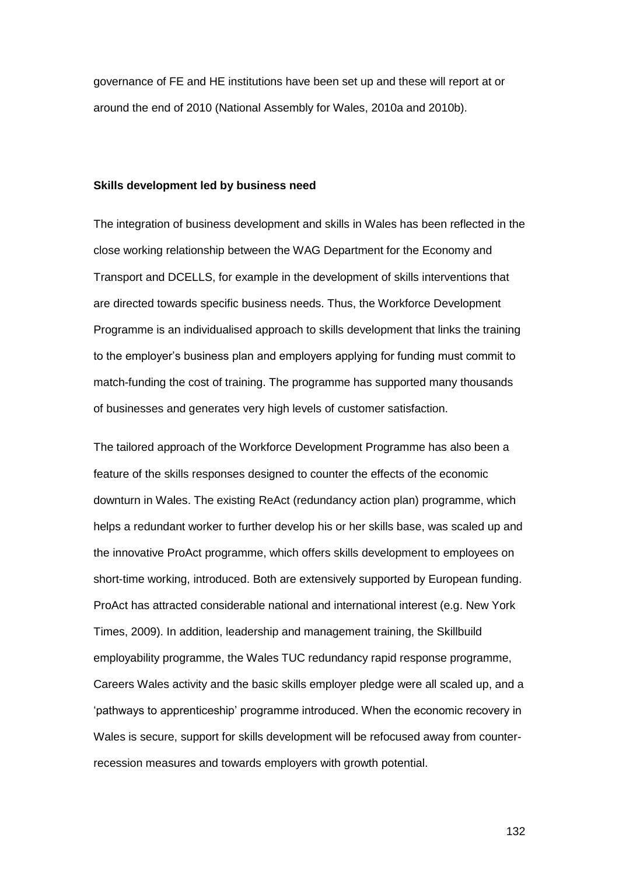governance of FE and HE institutions have been set up and these will report at or around the end of 2010 (National Assembly for Wales, 2010a and 2010b).

#### **Skills development led by business need**

The integration of business development and skills in Wales has been reflected in the close working relationship between the WAG Department for the Economy and Transport and DCELLS, for example in the development of skills interventions that are directed towards specific business needs. Thus, the Workforce Development Programme is an individualised approach to skills development that links the training to the employer"s business plan and employers applying for funding must commit to match-funding the cost of training. The programme has supported many thousands of businesses and generates very high levels of customer satisfaction.

The tailored approach of the Workforce Development Programme has also been a feature of the skills responses designed to counter the effects of the economic downturn in Wales. The existing ReAct (redundancy action plan) programme, which helps a redundant worker to further develop his or her skills base, was scaled up and the innovative ProAct programme, which offers skills development to employees on short-time working, introduced. Both are extensively supported by European funding. ProAct has attracted considerable national and international interest (e.g. New York Times, 2009). In addition, leadership and management training, the Skillbuild employability programme, the Wales TUC redundancy rapid response programme, Careers Wales activity and the basic skills employer pledge were all scaled up, and a "pathways to apprenticeship" programme introduced. When the economic recovery in Wales is secure, support for skills development will be refocused away from counterrecession measures and towards employers with growth potential.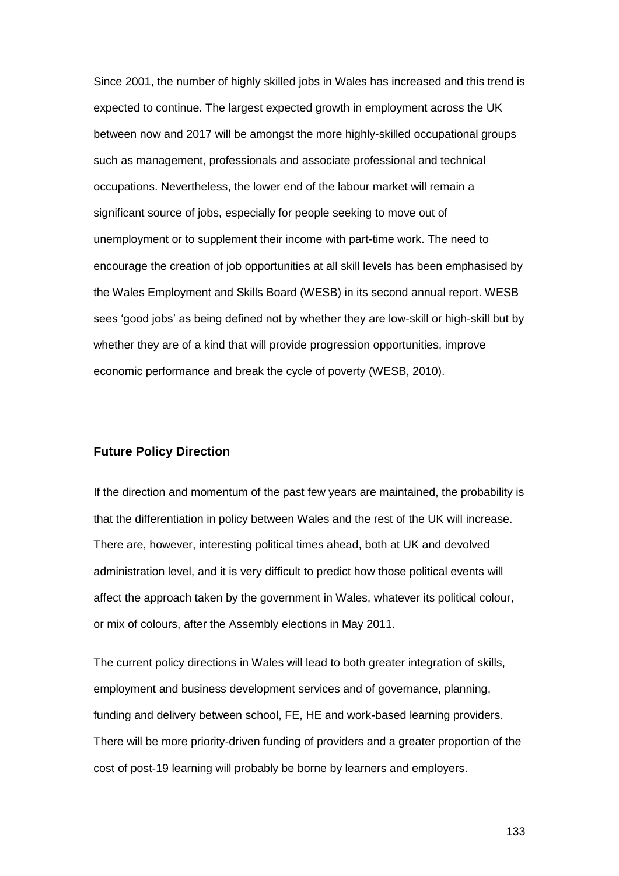Since 2001, the number of highly skilled jobs in Wales has increased and this trend is expected to continue. The largest expected growth in employment across the UK between now and 2017 will be amongst the more highly-skilled occupational groups such as management, professionals and associate professional and technical occupations. Nevertheless, the lower end of the labour market will remain a significant source of jobs, especially for people seeking to move out of unemployment or to supplement their income with part-time work. The need to encourage the creation of job opportunities at all skill levels has been emphasised by the Wales Employment and Skills Board (WESB) in its second annual report. WESB sees "good jobs" as being defined not by whether they are low-skill or high-skill but by whether they are of a kind that will provide progression opportunities, improve economic performance and break the cycle of poverty (WESB, 2010).

#### **Future Policy Direction**

If the direction and momentum of the past few years are maintained, the probability is that the differentiation in policy between Wales and the rest of the UK will increase. There are, however, interesting political times ahead, both at UK and devolved administration level, and it is very difficult to predict how those political events will affect the approach taken by the government in Wales, whatever its political colour, or mix of colours, after the Assembly elections in May 2011.

The current policy directions in Wales will lead to both greater integration of skills, employment and business development services and of governance, planning, funding and delivery between school, FE, HE and work-based learning providers. There will be more priority-driven funding of providers and a greater proportion of the cost of post-19 learning will probably be borne by learners and employers.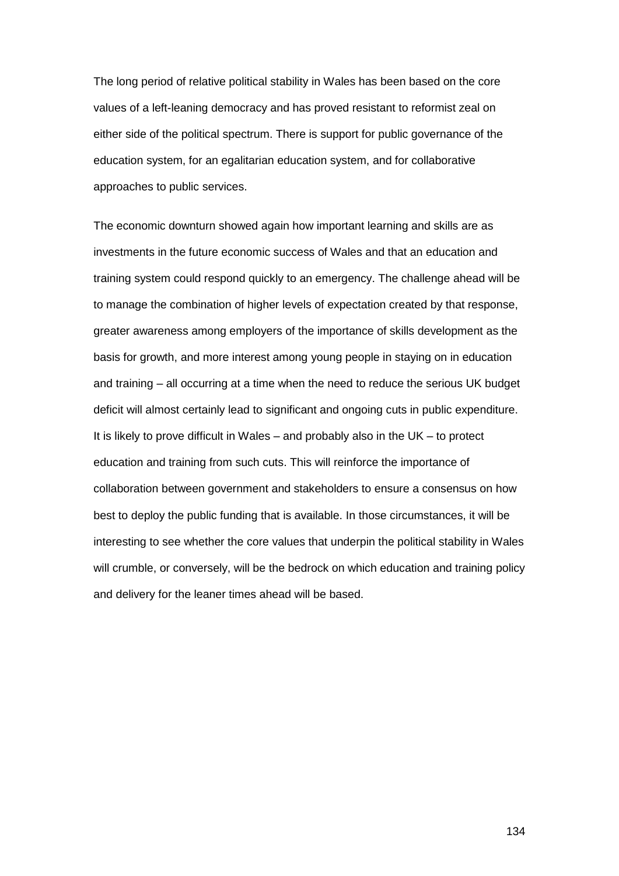The long period of relative political stability in Wales has been based on the core values of a left-leaning democracy and has proved resistant to reformist zeal on either side of the political spectrum. There is support for public governance of the education system, for an egalitarian education system, and for collaborative approaches to public services.

The economic downturn showed again how important learning and skills are as investments in the future economic success of Wales and that an education and training system could respond quickly to an emergency. The challenge ahead will be to manage the combination of higher levels of expectation created by that response, greater awareness among employers of the importance of skills development as the basis for growth, and more interest among young people in staying on in education and training – all occurring at a time when the need to reduce the serious UK budget deficit will almost certainly lead to significant and ongoing cuts in public expenditure. It is likely to prove difficult in Wales – and probably also in the  $UK -$  to protect education and training from such cuts. This will reinforce the importance of collaboration between government and stakeholders to ensure a consensus on how best to deploy the public funding that is available. In those circumstances, it will be interesting to see whether the core values that underpin the political stability in Wales will crumble, or conversely, will be the bedrock on which education and training policy and delivery for the leaner times ahead will be based.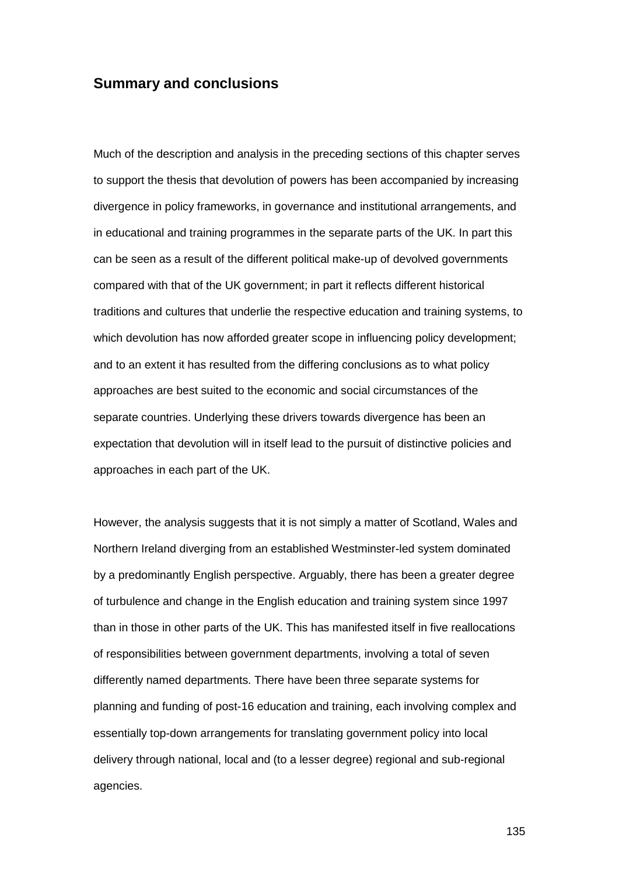## **Summary and conclusions**

Much of the description and analysis in the preceding sections of this chapter serves to support the thesis that devolution of powers has been accompanied by increasing divergence in policy frameworks, in governance and institutional arrangements, and in educational and training programmes in the separate parts of the UK. In part this can be seen as a result of the different political make-up of devolved governments compared with that of the UK government; in part it reflects different historical traditions and cultures that underlie the respective education and training systems, to which devolution has now afforded greater scope in influencing policy development; and to an extent it has resulted from the differing conclusions as to what policy approaches are best suited to the economic and social circumstances of the separate countries. Underlying these drivers towards divergence has been an expectation that devolution will in itself lead to the pursuit of distinctive policies and approaches in each part of the UK.

However, the analysis suggests that it is not simply a matter of Scotland, Wales and Northern Ireland diverging from an established Westminster-led system dominated by a predominantly English perspective. Arguably, there has been a greater degree of turbulence and change in the English education and training system since 1997 than in those in other parts of the UK. This has manifested itself in five reallocations of responsibilities between government departments, involving a total of seven differently named departments. There have been three separate systems for planning and funding of post-16 education and training, each involving complex and essentially top-down arrangements for translating government policy into local delivery through national, local and (to a lesser degree) regional and sub-regional agencies.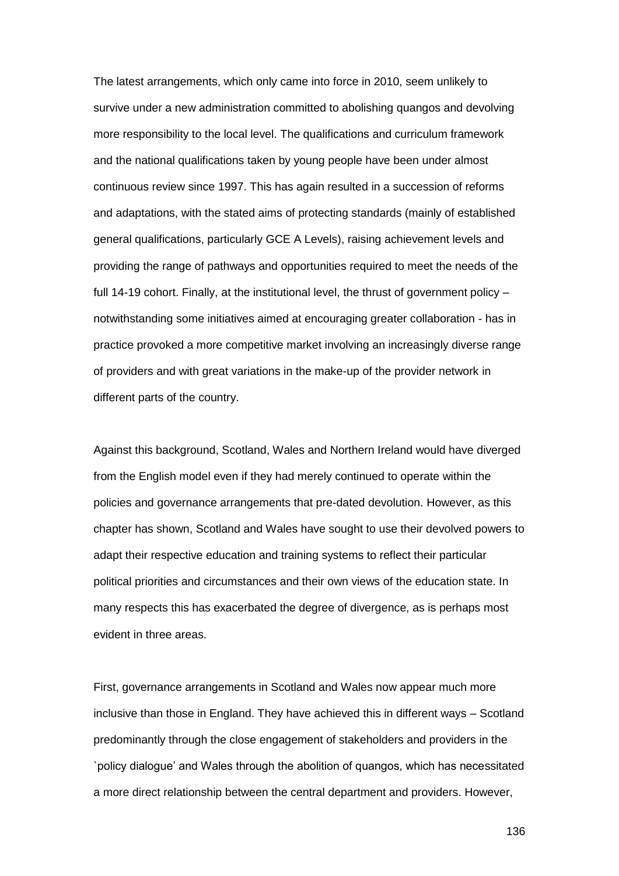The latest arrangements, which only came into force in 2010, seem unlikely to survive under a new administration committed to abolishing quangos and devolving more responsibility to the local level. The qualifications and curriculum framework and the national qualifications taken by young people have been under almost continuous review since 1997. This has again resulted in a succession of reforms and adaptations, with the stated aims of protecting standards (mainly of established general qualifications, particularly GCE A Levels), raising achievement levels and providing the range of pathways and opportunities required to meet the needs of the full 14-19 cohort. Finally, at the institutional level, the thrust of government policy – notwithstanding some initiatives aimed at encouraging greater collaboration - has in practice provoked a more competitive market involving an increasingly diverse range of providers and with great variations in the make-up of the provider network in different parts of the country.

Against this background, Scotland, Wales and Northern Ireland would have diverged from the English model even if they had merely continued to operate within the policies and governance arrangements that pre-dated devolution. However, as this chapter has shown, Scotland and Wales have sought to use their devolved powers to adapt their respective education and training systems to reflect their particular political priorities and circumstances and their own views of the education state. In many respects this has exacerbated the degree of divergence, as is perhaps most evident in three areas.

First, governance arrangements in Scotland and Wales now appear much more inclusive than those in England. They have achieved this in different ways – Scotland predominantly through the close engagement of stakeholders and providers in the `policy dialogue" and Wales through the abolition of quangos, which has necessitated a more direct relationship between the central department and providers. However,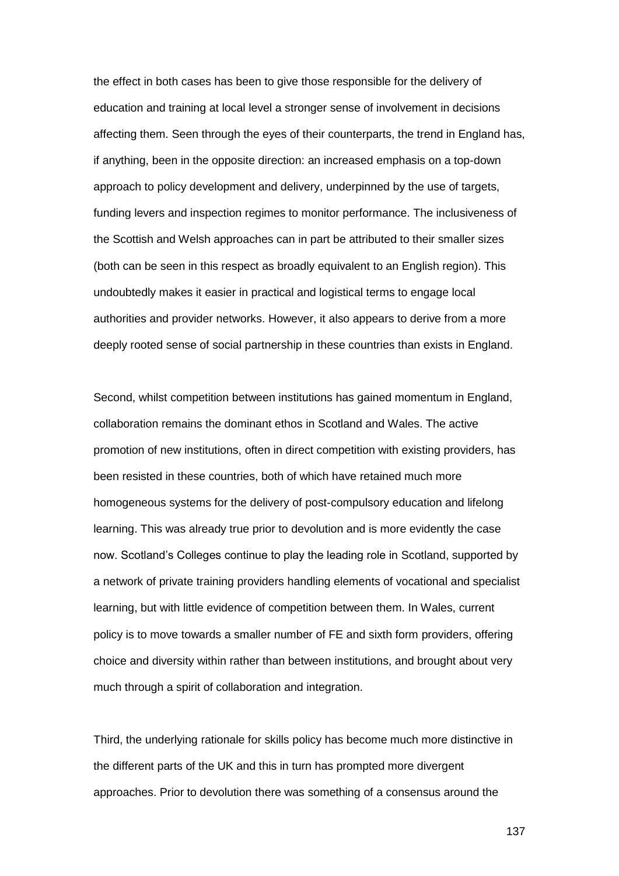the effect in both cases has been to give those responsible for the delivery of education and training at local level a stronger sense of involvement in decisions affecting them. Seen through the eyes of their counterparts, the trend in England has, if anything, been in the opposite direction: an increased emphasis on a top-down approach to policy development and delivery, underpinned by the use of targets, funding levers and inspection regimes to monitor performance. The inclusiveness of the Scottish and Welsh approaches can in part be attributed to their smaller sizes (both can be seen in this respect as broadly equivalent to an English region). This undoubtedly makes it easier in practical and logistical terms to engage local authorities and provider networks. However, it also appears to derive from a more deeply rooted sense of social partnership in these countries than exists in England.

Second, whilst competition between institutions has gained momentum in England, collaboration remains the dominant ethos in Scotland and Wales. The active promotion of new institutions, often in direct competition with existing providers, has been resisted in these countries, both of which have retained much more homogeneous systems for the delivery of post-compulsory education and lifelong learning. This was already true prior to devolution and is more evidently the case now. Scotland"s Colleges continue to play the leading role in Scotland, supported by a network of private training providers handling elements of vocational and specialist learning, but with little evidence of competition between them. In Wales, current policy is to move towards a smaller number of FE and sixth form providers, offering choice and diversity within rather than between institutions, and brought about very much through a spirit of collaboration and integration.

Third, the underlying rationale for skills policy has become much more distinctive in the different parts of the UK and this in turn has prompted more divergent approaches. Prior to devolution there was something of a consensus around the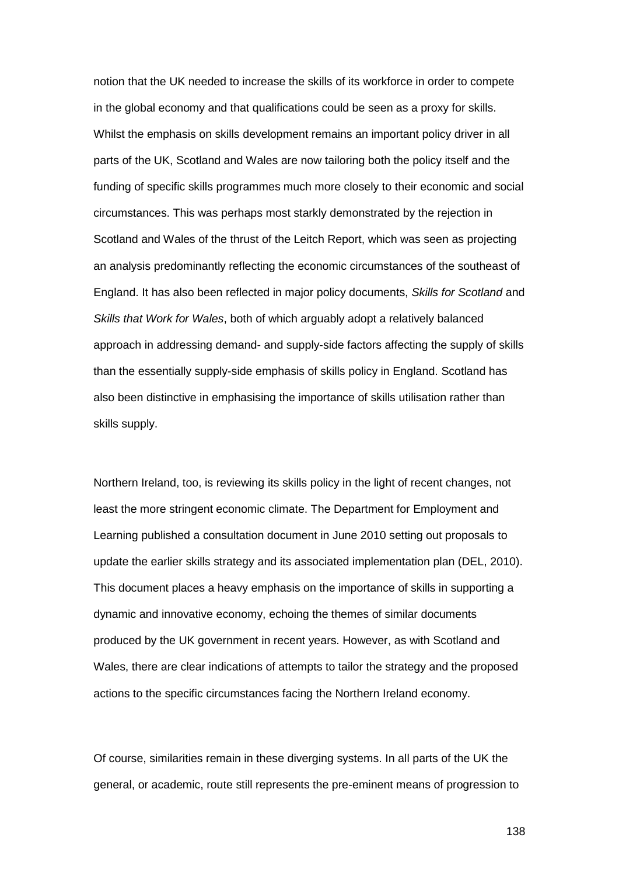notion that the UK needed to increase the skills of its workforce in order to compete in the global economy and that qualifications could be seen as a proxy for skills. Whilst the emphasis on skills development remains an important policy driver in all parts of the UK, Scotland and Wales are now tailoring both the policy itself and the funding of specific skills programmes much more closely to their economic and social circumstances. This was perhaps most starkly demonstrated by the rejection in Scotland and Wales of the thrust of the Leitch Report, which was seen as projecting an analysis predominantly reflecting the economic circumstances of the southeast of England. It has also been reflected in major policy documents, *Skills for Scotland* and *Skills that Work for Wales*, both of which arguably adopt a relatively balanced approach in addressing demand- and supply-side factors affecting the supply of skills than the essentially supply-side emphasis of skills policy in England. Scotland has also been distinctive in emphasising the importance of skills utilisation rather than skills supply.

Northern Ireland, too, is reviewing its skills policy in the light of recent changes, not least the more stringent economic climate. The Department for Employment and Learning published a consultation document in June 2010 setting out proposals to update the earlier skills strategy and its associated implementation plan (DEL, 2010). This document places a heavy emphasis on the importance of skills in supporting a dynamic and innovative economy, echoing the themes of similar documents produced by the UK government in recent years. However, as with Scotland and Wales, there are clear indications of attempts to tailor the strategy and the proposed actions to the specific circumstances facing the Northern Ireland economy.

Of course, similarities remain in these diverging systems. In all parts of the UK the general, or academic, route still represents the pre-eminent means of progression to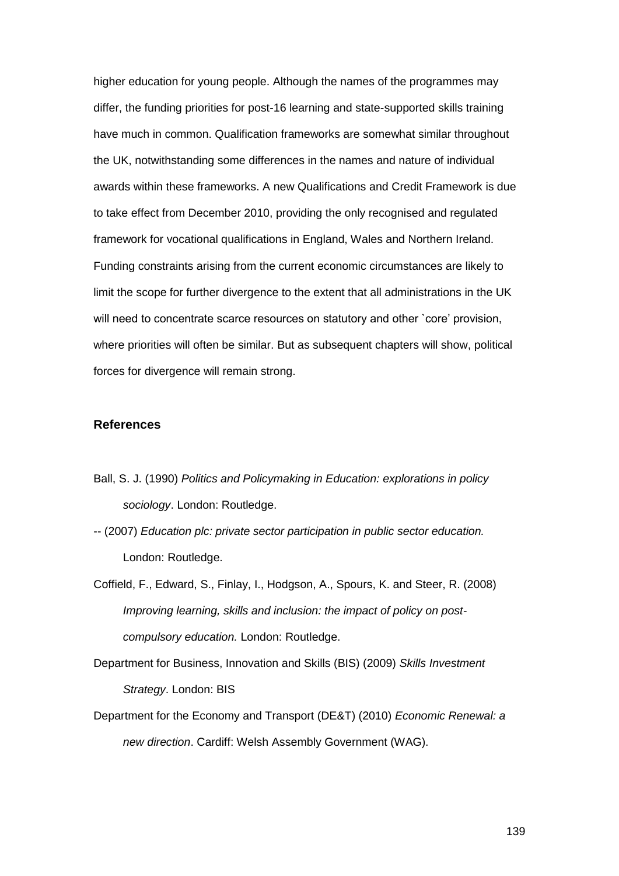higher education for young people. Although the names of the programmes may differ, the funding priorities for post-16 learning and state-supported skills training have much in common. Qualification frameworks are somewhat similar throughout the UK, notwithstanding some differences in the names and nature of individual awards within these frameworks. A new Qualifications and Credit Framework is due to take effect from December 2010, providing the only recognised and regulated framework for vocational qualifications in England, Wales and Northern Ireland. Funding constraints arising from the current economic circumstances are likely to limit the scope for further divergence to the extent that all administrations in the UK will need to concentrate scarce resources on statutory and other 'core' provision, where priorities will often be similar. But as subsequent chapters will show, political forces for divergence will remain strong.

#### **References**

- Ball, S. J. (1990) *Politics and Policymaking in Education: explorations in policy sociology*. London: Routledge.
- -- (2007) *Education plc: private sector participation in public sector education.*  London: Routledge.
- Coffield, F., Edward, S., Finlay, I., Hodgson, A., Spours, K. and Steer, R. (2008) *Improving learning, skills and inclusion: the impact of policy on postcompulsory education.* London: Routledge.
- Department for Business, Innovation and Skills (BIS) (2009) *Skills Investment Strategy*. London: BIS
- Department for the Economy and Transport (DE&T) (2010) *Economic Renewal: a new direction*. Cardiff: Welsh Assembly Government (WAG).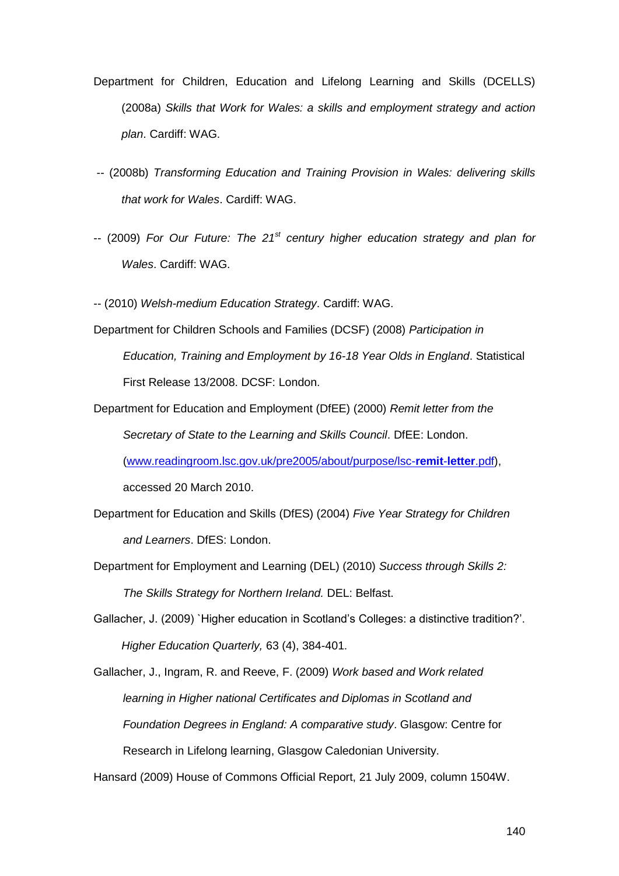- Department for Children, Education and Lifelong Learning and Skills (DCELLS) (2008a) *Skills that Work for Wales: a skills and employment strategy and action plan*. Cardiff: WAG.
- -- (2008b) *Transforming Education and Training Provision in Wales: delivering skills that work for Wales*. Cardiff: WAG.
- -- (2009) *For Our Future: The 21st century higher education strategy and plan for Wales*. Cardiff: WAG.
- -- (2010) *Welsh-medium Education Strategy*. Cardiff: WAG.
- Department for Children Schools and Families (DCSF) (2008) *Participation in Education, Training and Employment by 16-18 Year Olds in England*. Statistical First Release 13/2008. DCSF: London.
- Department for Education and Employment (DfEE) (2000) *Remit letter from the Secretary of State to the Learning and Skills Council*. DfEE: London.

[\(www.readingroom.lsc.gov.uk/pre2005/about/purpose/lsc-](http://www.readingroom.lsc.gov.uk/pre2005/about/purpose/lsc-remit-letter.pdf)**remit**-**letter**.pdf),

accessed 20 March 2010.

- Department for Education and Skills (DfES) (2004) *Five Year Strategy for Children and Learners*. DfES: London.
- Department for Employment and Learning (DEL) (2010) *Success through Skills 2: The Skills Strategy for Northern Ireland.* DEL: Belfast.
- Gallacher, J. (2009) `Higher education in Scotland"s Colleges: a distinctive tradition?". *Higher Education Quarterly,* 63 (4), 384-401.

Gallacher, J., Ingram, R. and Reeve, F. (2009) *Work based and Work related learning in Higher national Certificates and Diplomas in Scotland and Foundation Degrees in England: A comparative study*. Glasgow: Centre for Research in Lifelong learning, Glasgow Caledonian University.

Hansard (2009) House of Commons Official Report, 21 July 2009, column 1504W.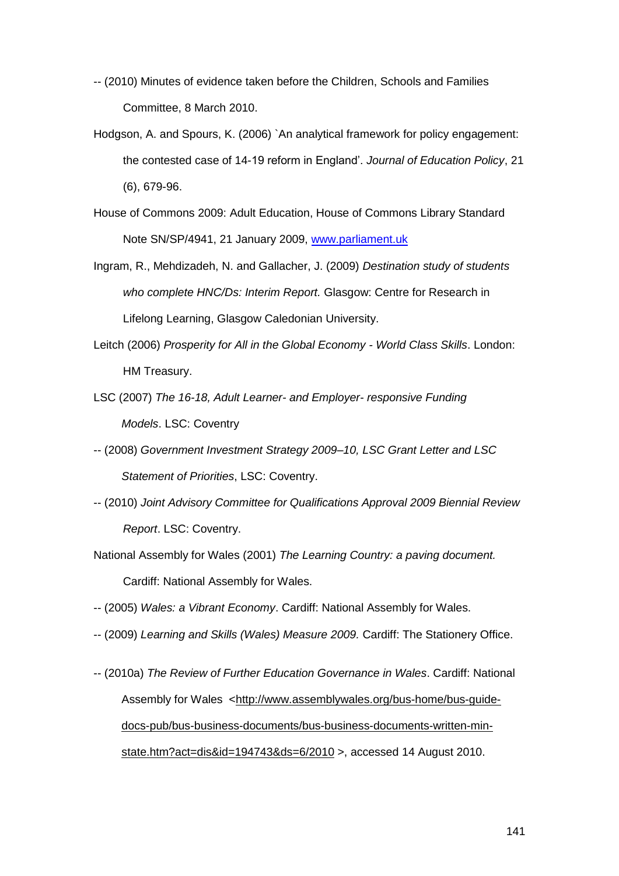- -- (2010) Minutes of evidence taken before the Children, Schools and Families Committee, 8 March 2010.
- Hodgson, A. and Spours, K. (2006) `An analytical framework for policy engagement: the contested case of 14-19 reform in England". *Journal of Education Policy*, 21 (6), 679-96.
- House of Commons 2009: Adult Education, House of Commons Library Standard Note SN/SP/4941, 21 January 2009, [www.parliament.uk](http://www.parliament.uk/)
- Ingram, R., Mehdizadeh, N. and Gallacher, J. (2009) *Destination study of students who complete HNC/Ds: Interim Report.* Glasgow: Centre for Research in Lifelong Learning, Glasgow Caledonian University.
- Leitch (2006) *Prosperity for All in the Global Economy - World Class Skills*. London: HM Treasury.
- LSC (2007) *The 16-18, Adult Learner- and Employer- responsive Funding Models*. LSC: Coventry
- -- (2008) *Government Investment Strategy 2009–10, LSC Grant Letter and LSC Statement of Priorities*, LSC: Coventry.
- -- (2010) *Joint Advisory Committee for Qualifications Approval 2009 Biennial Review Report*. LSC: Coventry.
- National Assembly for Wales (2001) *The Learning Country: a paving document.*  Cardiff: National Assembly for Wales.
- -- (2005) *Wales: a Vibrant Economy*. Cardiff: National Assembly for Wales.
- -- (2009) *Learning and Skills (Wales) Measure 2009.* Cardiff: The Stationery Office.
- -- (2010a) *The Review of Further Education Governance in Wales*. Cardiff: National Assembly for Wales [<http://www.assemblywales.org/bus-home/bus-guide](http://www.assemblywales.org/bus-home/bus-guide-docs-pub/bus-business-documents/bus-business-documents-written-min-state.htm?act=dis&id=194743&ds=6/2010)[docs-pub/bus-business-documents/bus-business-documents-written-min](http://www.assemblywales.org/bus-home/bus-guide-docs-pub/bus-business-documents/bus-business-documents-written-min-state.htm?act=dis&id=194743&ds=6/2010)[state.htm?act=dis&id=194743&ds=6/2010](http://www.assemblywales.org/bus-home/bus-guide-docs-pub/bus-business-documents/bus-business-documents-written-min-state.htm?act=dis&id=194743&ds=6/2010) >, accessed 14 August 2010.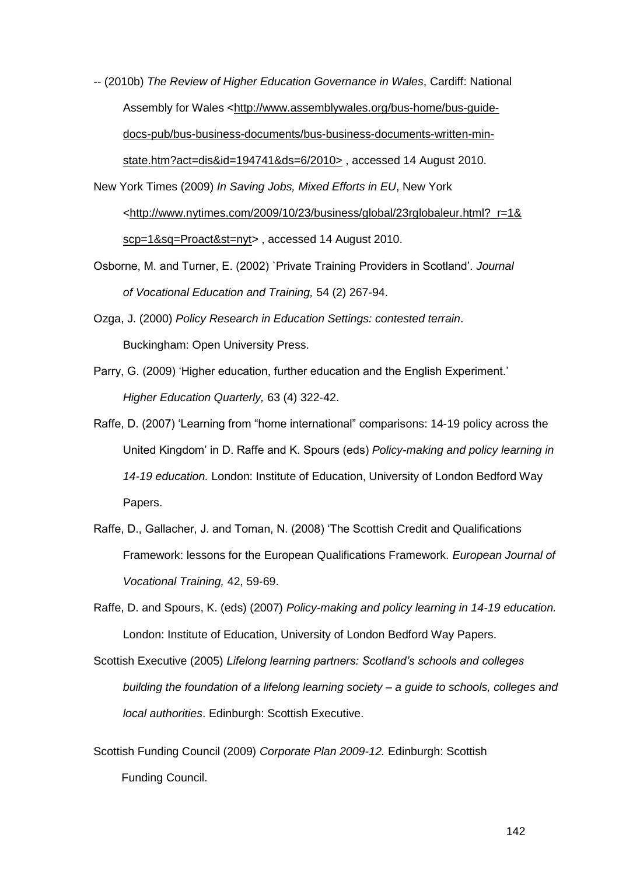-- (2010b) *The Review of Higher Education Governance in Wales*, Cardiff: National Assembly for Wales [<http://www.assemblywales.org/bus-home/bus-guide](http://www.assemblywales.org/bus-home/bus-guide-docs-pub/bus-business-documents/bus-business-documents-written-min-state.htm?act=dis&id=194741&ds=6/2010)[docs-pub/bus-business-documents/bus-business-documents-written-min](http://www.assemblywales.org/bus-home/bus-guide-docs-pub/bus-business-documents/bus-business-documents-written-min-state.htm?act=dis&id=194741&ds=6/2010)[state.htm?act=dis&id=194741&ds=6/2010>](http://www.assemblywales.org/bus-home/bus-guide-docs-pub/bus-business-documents/bus-business-documents-written-min-state.htm?act=dis&id=194741&ds=6/2010) , accessed 14 August 2010.

New York Times (2009) *In Saving Jobs, Mixed Efforts in EU*, New York [<http://www.nytimes.com/2009/10/23/business/global/23rglobaleur.html?\\_r=1&](http://www.nytimes.com/2009/10/23/business/global/23rglobaleur.html?_r=1&scp=1&sq=Proact&st=nyt) [scp=1&sq=Proact&st=nyt>](http://www.nytimes.com/2009/10/23/business/global/23rglobaleur.html?_r=1&scp=1&sq=Proact&st=nyt) , accessed 14 August 2010.

- Osborne, M. and Turner, E. (2002) `Private Training Providers in Scotland". *Journal of Vocational Education and Training,* 54 (2) 267-94.
- Ozga, J. (2000) *Policy Research in Education Settings: contested terrain*. Buckingham: Open University Press.
- Parry, G. (2009) 'Higher education, further education and the English Experiment.' *Higher Education Quarterly,* 63 (4) 322-42.
- Raffe, D. (2007) "Learning from "home international" comparisons: 14-19 policy across the United Kingdom" in D. Raffe and K. Spours (eds) *Policy-making and policy learning in 14-19 education.* London: Institute of Education, University of London Bedford Way Papers.
- Raffe, D., Gallacher, J. and Toman, N. (2008) "The Scottish Credit and Qualifications Framework: lessons for the European Qualifications Framework. *European Journal of Vocational Training,* 42, 59-69.
- Raffe, D. and Spours, K. (eds) (2007) *Policy-making and policy learning in 14-19 education.*  London: Institute of Education, University of London Bedford Way Papers.
- Scottish Executive (2005) *Lifelong learning partners: Scotland's schools and colleges building the foundation of a lifelong learning society – a guide to schools, colleges and local authorities*. Edinburgh: Scottish Executive.
- Scottish Funding Council (2009) *Corporate Plan 2009-12.* Edinburgh: Scottish Funding Council.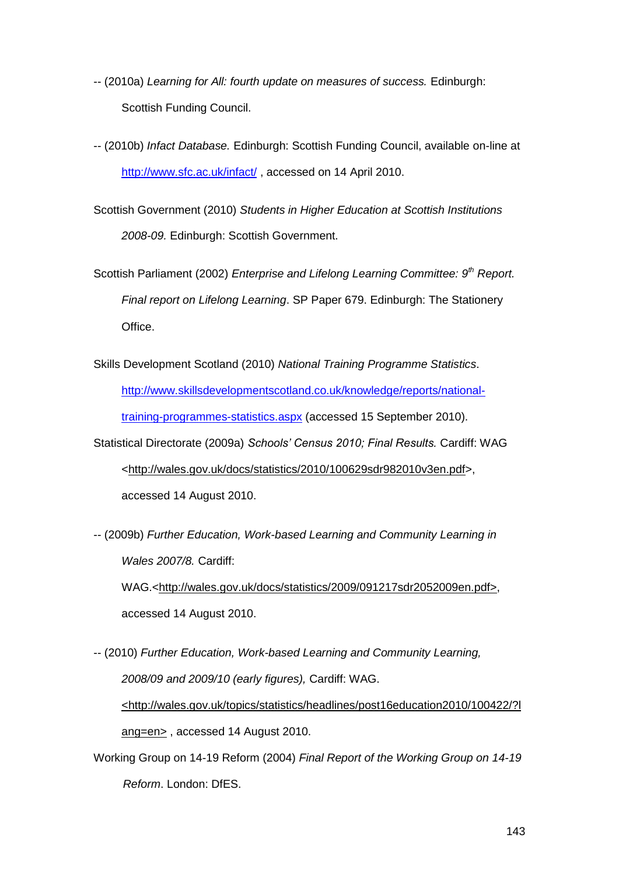- -- (2010a) *Learning for All: fourth update on measures of success.* Edinburgh: Scottish Funding Council.
- -- (2010b) *Infact Database.* Edinburgh: Scottish Funding Council, available on-line at <http://www.sfc.ac.uk/infact/>, accessed on 14 April 2010.
- Scottish Government (2010) *Students in Higher Education at Scottish Institutions 2008-09.* Edinburgh: Scottish Government.
- Scottish Parliament (2002) *Enterprise and Lifelong Learning Committee: 9th Report. Final report on Lifelong Learning*. SP Paper 679. Edinburgh: The Stationery Office.
- Skills Development Scotland (2010) *National Training Programme Statistics*. [http://www.skillsdevelopmentscotland.co.uk/knowledge/reports/national](http://www.skillsdevelopmentscotland.co.uk/knowledge/reports/national-training-programmes-statistics.aspx)[training-programmes-statistics.aspx](http://www.skillsdevelopmentscotland.co.uk/knowledge/reports/national-training-programmes-statistics.aspx) (accessed 15 September 2010).
- Statistical Directorate (2009a) *Schools' Census 2010; Final Results.* Cardiff: WAG [<http://wales.gov.uk/docs/statistics/2010/100629sdr982010v3en.pdf>](http://wales.gov.uk/docs/statistics/2010/100629sdr982010v3en.pdf), accessed 14 August 2010.
- -- (2009b) *Further Education, Work-based Learning and Community Learning in Wales 2007/8.* Cardiff:

WAG.[<http://wales.gov.uk/docs/statistics/2009/091217sdr2052009en.pdf>](http://wales.gov.uk/docs/statistics/2009/091217sdr2052009en.pdf), accessed 14 August 2010.

-- (2010) *Further Education, Work-based Learning and Community Learning, 2008/09 and 2009/10 (early figures),* Cardiff: WAG. [<http://wales.gov.uk/topics/statistics/headlines/post16education2010/100422/?l](http://wales.gov.uk/topics/statistics/headlines/post16education2010/100422/?lang=en) [ang=en>](http://wales.gov.uk/topics/statistics/headlines/post16education2010/100422/?lang=en) , accessed 14 August 2010.

Working Group on 14-19 Reform (2004) *Final Report of the Working Group on 14-19 Reform*. London: DfES.